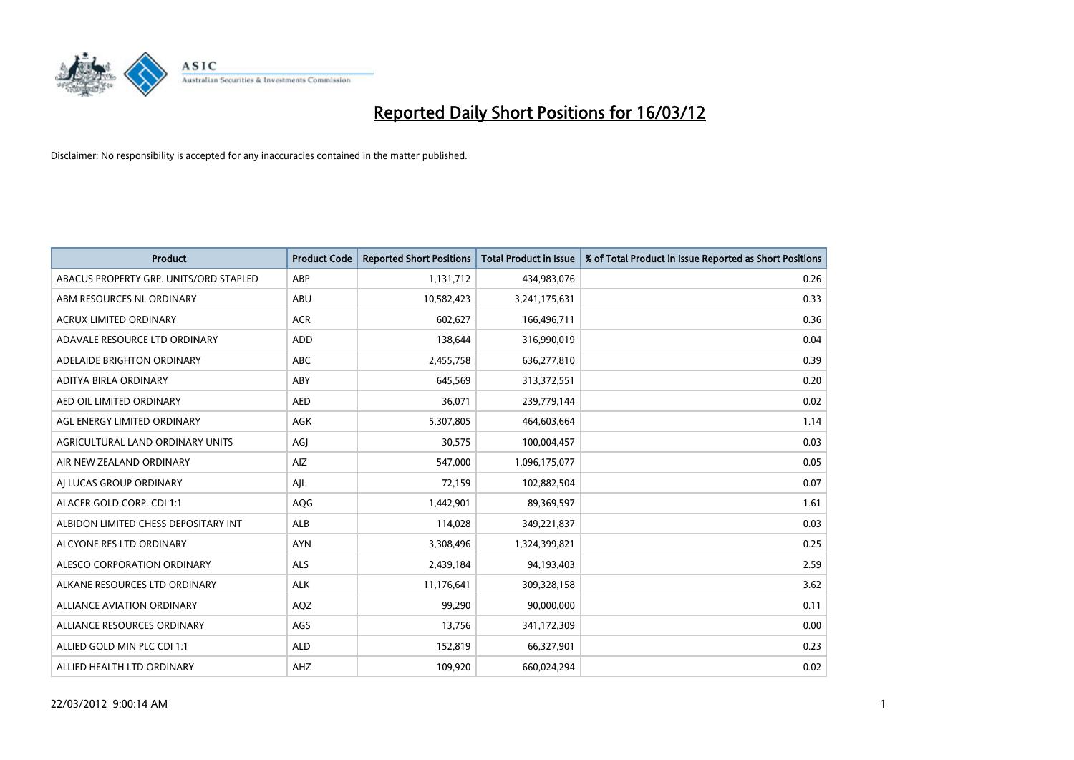

| <b>Product</b>                         | <b>Product Code</b> | <b>Reported Short Positions</b> | <b>Total Product in Issue</b> | % of Total Product in Issue Reported as Short Positions |
|----------------------------------------|---------------------|---------------------------------|-------------------------------|---------------------------------------------------------|
| ABACUS PROPERTY GRP. UNITS/ORD STAPLED | ABP                 | 1,131,712                       | 434,983,076                   | 0.26                                                    |
| ABM RESOURCES NL ORDINARY              | ABU                 | 10,582,423                      | 3,241,175,631                 | 0.33                                                    |
| <b>ACRUX LIMITED ORDINARY</b>          | <b>ACR</b>          | 602,627                         | 166,496,711                   | 0.36                                                    |
| ADAVALE RESOURCE LTD ORDINARY          | <b>ADD</b>          | 138,644                         | 316,990,019                   | 0.04                                                    |
| ADELAIDE BRIGHTON ORDINARY             | ABC                 | 2,455,758                       | 636,277,810                   | 0.39                                                    |
| ADITYA BIRLA ORDINARY                  | ABY                 | 645,569                         | 313,372,551                   | 0.20                                                    |
| AED OIL LIMITED ORDINARY               | <b>AED</b>          | 36,071                          | 239,779,144                   | 0.02                                                    |
| AGL ENERGY LIMITED ORDINARY            | <b>AGK</b>          | 5,307,805                       | 464,603,664                   | 1.14                                                    |
| AGRICULTURAL LAND ORDINARY UNITS       | AGI                 | 30,575                          | 100,004,457                   | 0.03                                                    |
| AIR NEW ZEALAND ORDINARY               | AIZ                 | 547,000                         | 1,096,175,077                 | 0.05                                                    |
| AI LUCAS GROUP ORDINARY                | AJL                 | 72,159                          | 102,882,504                   | 0.07                                                    |
| ALACER GOLD CORP. CDI 1:1              | AQG                 | 1,442,901                       | 89,369,597                    | 1.61                                                    |
| ALBIDON LIMITED CHESS DEPOSITARY INT   | ALB                 | 114,028                         | 349,221,837                   | 0.03                                                    |
| ALCYONE RES LTD ORDINARY               | <b>AYN</b>          | 3,308,496                       | 1,324,399,821                 | 0.25                                                    |
| ALESCO CORPORATION ORDINARY            | ALS                 | 2,439,184                       | 94,193,403                    | 2.59                                                    |
| ALKANE RESOURCES LTD ORDINARY          | <b>ALK</b>          | 11,176,641                      | 309,328,158                   | 3.62                                                    |
| ALLIANCE AVIATION ORDINARY             | AQZ                 | 99,290                          | 90,000,000                    | 0.11                                                    |
| ALLIANCE RESOURCES ORDINARY            | AGS                 | 13,756                          | 341,172,309                   | 0.00                                                    |
| ALLIED GOLD MIN PLC CDI 1:1            | <b>ALD</b>          | 152,819                         | 66,327,901                    | 0.23                                                    |
| ALLIED HEALTH LTD ORDINARY             | AHZ                 | 109,920                         | 660,024,294                   | 0.02                                                    |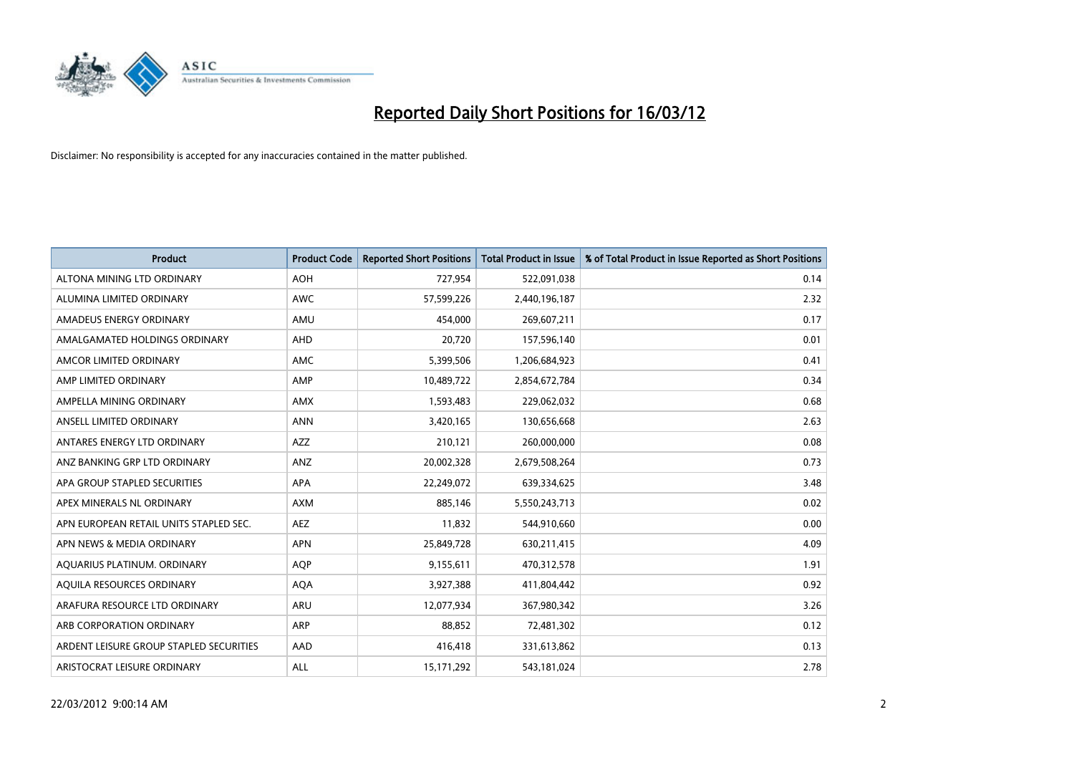

| Product                                 | <b>Product Code</b> | <b>Reported Short Positions</b> | <b>Total Product in Issue</b> | % of Total Product in Issue Reported as Short Positions |
|-----------------------------------------|---------------------|---------------------------------|-------------------------------|---------------------------------------------------------|
| ALTONA MINING LTD ORDINARY              | <b>AOH</b>          | 727,954                         | 522,091,038                   | 0.14                                                    |
| ALUMINA LIMITED ORDINARY                | AWC                 | 57,599,226                      | 2,440,196,187                 | 2.32                                                    |
| AMADEUS ENERGY ORDINARY                 | AMU                 | 454,000                         | 269,607,211                   | 0.17                                                    |
| AMALGAMATED HOLDINGS ORDINARY           | AHD                 | 20,720                          | 157,596,140                   | 0.01                                                    |
| AMCOR LIMITED ORDINARY                  | AMC                 | 5,399,506                       | 1,206,684,923                 | 0.41                                                    |
| AMP LIMITED ORDINARY                    | AMP                 | 10,489,722                      | 2,854,672,784                 | 0.34                                                    |
| AMPELLA MINING ORDINARY                 | <b>AMX</b>          | 1,593,483                       | 229,062,032                   | 0.68                                                    |
| ANSELL LIMITED ORDINARY                 | <b>ANN</b>          | 3,420,165                       | 130,656,668                   | 2.63                                                    |
| ANTARES ENERGY LTD ORDINARY             | <b>AZZ</b>          | 210,121                         | 260,000,000                   | 0.08                                                    |
| ANZ BANKING GRP LTD ORDINARY            | ANZ                 | 20,002,328                      | 2,679,508,264                 | 0.73                                                    |
| APA GROUP STAPLED SECURITIES            | <b>APA</b>          | 22,249,072                      | 639,334,625                   | 3.48                                                    |
| APEX MINERALS NL ORDINARY               | <b>AXM</b>          | 885,146                         | 5,550,243,713                 | 0.02                                                    |
| APN EUROPEAN RETAIL UNITS STAPLED SEC.  | AEZ                 | 11,832                          | 544,910,660                   | 0.00                                                    |
| APN NEWS & MEDIA ORDINARY               | <b>APN</b>          | 25,849,728                      | 630,211,415                   | 4.09                                                    |
| AQUARIUS PLATINUM. ORDINARY             | <b>AOP</b>          | 9,155,611                       | 470,312,578                   | 1.91                                                    |
| AQUILA RESOURCES ORDINARY               | <b>AQA</b>          | 3,927,388                       | 411,804,442                   | 0.92                                                    |
| ARAFURA RESOURCE LTD ORDINARY           | ARU                 | 12,077,934                      | 367,980,342                   | 3.26                                                    |
| ARB CORPORATION ORDINARY                | <b>ARP</b>          | 88,852                          | 72,481,302                    | 0.12                                                    |
| ARDENT LEISURE GROUP STAPLED SECURITIES | AAD                 | 416,418                         | 331,613,862                   | 0.13                                                    |
| ARISTOCRAT LEISURE ORDINARY             | ALL                 | 15, 171, 292                    | 543,181,024                   | 2.78                                                    |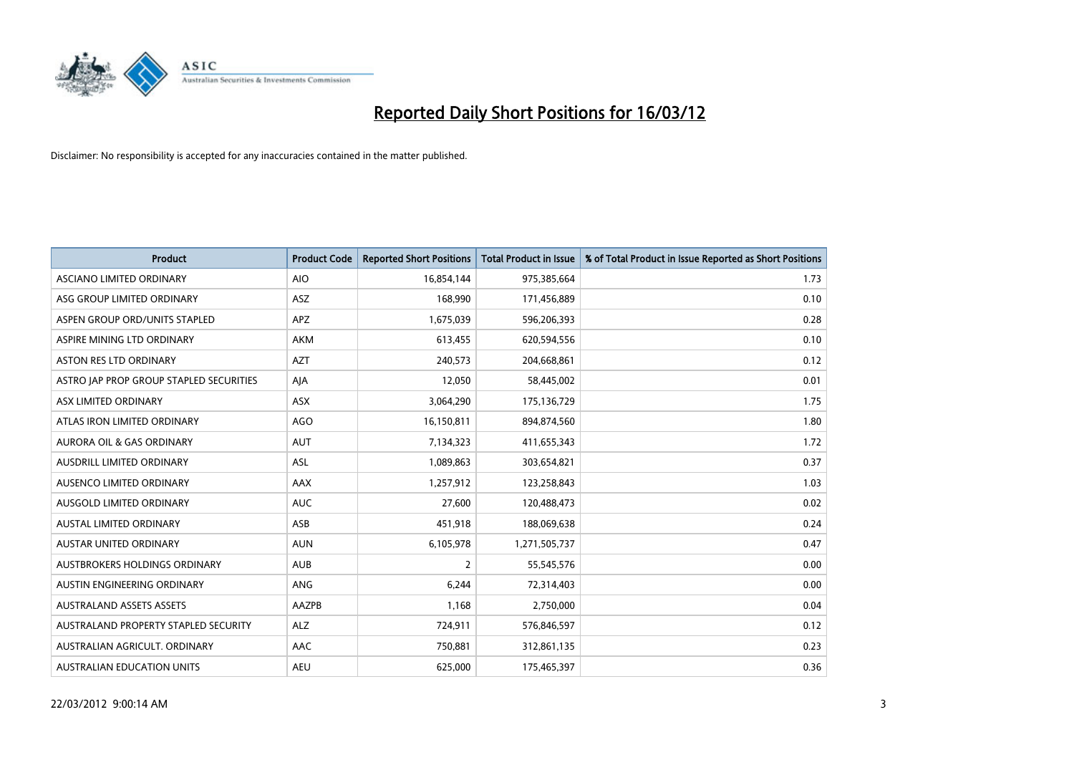

| <b>Product</b>                          | <b>Product Code</b> | <b>Reported Short Positions</b> | <b>Total Product in Issue</b> | % of Total Product in Issue Reported as Short Positions |
|-----------------------------------------|---------------------|---------------------------------|-------------------------------|---------------------------------------------------------|
| ASCIANO LIMITED ORDINARY                | <b>AIO</b>          | 16,854,144                      | 975,385,664                   | 1.73                                                    |
| ASG GROUP LIMITED ORDINARY              | ASZ                 | 168,990                         | 171,456,889                   | 0.10                                                    |
| ASPEN GROUP ORD/UNITS STAPLED           | APZ                 | 1,675,039                       | 596,206,393                   | 0.28                                                    |
| ASPIRE MINING LTD ORDINARY              | <b>AKM</b>          | 613,455                         | 620,594,556                   | 0.10                                                    |
| <b>ASTON RES LTD ORDINARY</b>           | <b>AZT</b>          | 240,573                         | 204,668,861                   | 0.12                                                    |
| ASTRO JAP PROP GROUP STAPLED SECURITIES | AJA                 | 12,050                          | 58,445,002                    | 0.01                                                    |
| ASX LIMITED ORDINARY                    | ASX                 | 3,064,290                       | 175,136,729                   | 1.75                                                    |
| ATLAS IRON LIMITED ORDINARY             | <b>AGO</b>          | 16,150,811                      | 894,874,560                   | 1.80                                                    |
| <b>AURORA OIL &amp; GAS ORDINARY</b>    | <b>AUT</b>          | 7,134,323                       | 411,655,343                   | 1.72                                                    |
| AUSDRILL LIMITED ORDINARY               | <b>ASL</b>          | 1,089,863                       | 303,654,821                   | 0.37                                                    |
| AUSENCO LIMITED ORDINARY                | AAX                 | 1,257,912                       | 123,258,843                   | 1.03                                                    |
| AUSGOLD LIMITED ORDINARY                | <b>AUC</b>          | 27,600                          | 120,488,473                   | 0.02                                                    |
| AUSTAL LIMITED ORDINARY                 | ASB                 | 451,918                         | 188,069,638                   | 0.24                                                    |
| <b>AUSTAR UNITED ORDINARY</b>           | <b>AUN</b>          | 6,105,978                       | 1,271,505,737                 | 0.47                                                    |
| AUSTBROKERS HOLDINGS ORDINARY           | <b>AUB</b>          | 2                               | 55,545,576                    | 0.00                                                    |
| AUSTIN ENGINEERING ORDINARY             | ANG                 | 6,244                           | 72,314,403                    | 0.00                                                    |
| <b>AUSTRALAND ASSETS ASSETS</b>         | AAZPB               | 1,168                           | 2,750,000                     | 0.04                                                    |
| AUSTRALAND PROPERTY STAPLED SECURITY    | <b>ALZ</b>          | 724,911                         | 576,846,597                   | 0.12                                                    |
| AUSTRALIAN AGRICULT, ORDINARY           | AAC                 | 750,881                         | 312,861,135                   | 0.23                                                    |
| AUSTRALIAN EDUCATION UNITS              | <b>AEU</b>          | 625,000                         | 175,465,397                   | 0.36                                                    |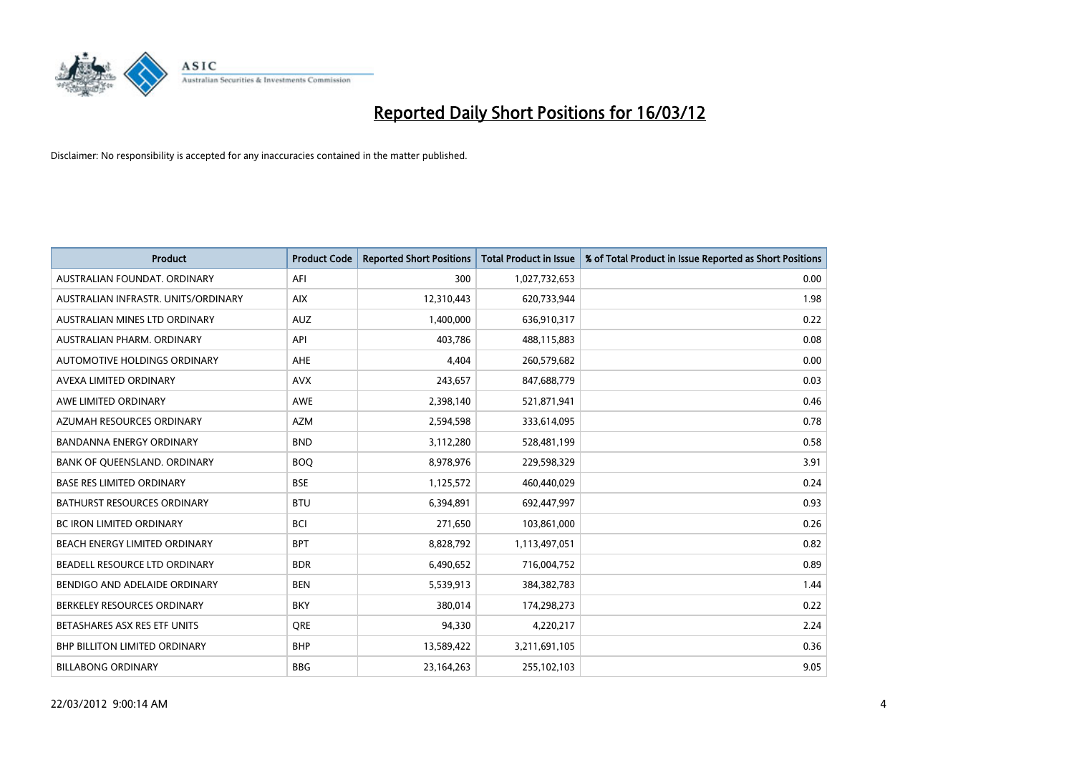

| <b>Product</b>                       | <b>Product Code</b> | <b>Reported Short Positions</b> | <b>Total Product in Issue</b> | % of Total Product in Issue Reported as Short Positions |
|--------------------------------------|---------------------|---------------------------------|-------------------------------|---------------------------------------------------------|
| AUSTRALIAN FOUNDAT, ORDINARY         | AFI                 | 300                             | 1,027,732,653                 | 0.00                                                    |
| AUSTRALIAN INFRASTR. UNITS/ORDINARY  | <b>AIX</b>          | 12,310,443                      | 620,733,944                   | 1.98                                                    |
| AUSTRALIAN MINES LTD ORDINARY        | <b>AUZ</b>          | 1,400,000                       | 636,910,317                   | 0.22                                                    |
| AUSTRALIAN PHARM, ORDINARY           | API                 | 403,786                         | 488,115,883                   | 0.08                                                    |
| AUTOMOTIVE HOLDINGS ORDINARY         | AHE                 | 4,404                           | 260,579,682                   | 0.00                                                    |
| AVEXA LIMITED ORDINARY               | <b>AVX</b>          | 243,657                         | 847,688,779                   | 0.03                                                    |
| AWE LIMITED ORDINARY                 | AWE                 | 2,398,140                       | 521,871,941                   | 0.46                                                    |
| AZUMAH RESOURCES ORDINARY            | <b>AZM</b>          | 2,594,598                       | 333,614,095                   | 0.78                                                    |
| <b>BANDANNA ENERGY ORDINARY</b>      | <b>BND</b>          | 3,112,280                       | 528,481,199                   | 0.58                                                    |
| BANK OF QUEENSLAND. ORDINARY         | <b>BOQ</b>          | 8,978,976                       | 229,598,329                   | 3.91                                                    |
| <b>BASE RES LIMITED ORDINARY</b>     | <b>BSE</b>          | 1,125,572                       | 460,440,029                   | 0.24                                                    |
| <b>BATHURST RESOURCES ORDINARY</b>   | <b>BTU</b>          | 6,394,891                       | 692,447,997                   | 0.93                                                    |
| <b>BC IRON LIMITED ORDINARY</b>      | <b>BCI</b>          | 271,650                         | 103,861,000                   | 0.26                                                    |
| BEACH ENERGY LIMITED ORDINARY        | <b>BPT</b>          | 8,828,792                       | 1,113,497,051                 | 0.82                                                    |
| BEADELL RESOURCE LTD ORDINARY        | <b>BDR</b>          | 6,490,652                       | 716,004,752                   | 0.89                                                    |
| BENDIGO AND ADELAIDE ORDINARY        | <b>BEN</b>          | 5,539,913                       | 384,382,783                   | 1.44                                                    |
| BERKELEY RESOURCES ORDINARY          | <b>BKY</b>          | 380,014                         | 174,298,273                   | 0.22                                                    |
| BETASHARES ASX RES ETF UNITS         | <b>ORE</b>          | 94,330                          | 4,220,217                     | 2.24                                                    |
| <b>BHP BILLITON LIMITED ORDINARY</b> | <b>BHP</b>          | 13,589,422                      | 3,211,691,105                 | 0.36                                                    |
| <b>BILLABONG ORDINARY</b>            | <b>BBG</b>          | 23,164,263                      | 255,102,103                   | 9.05                                                    |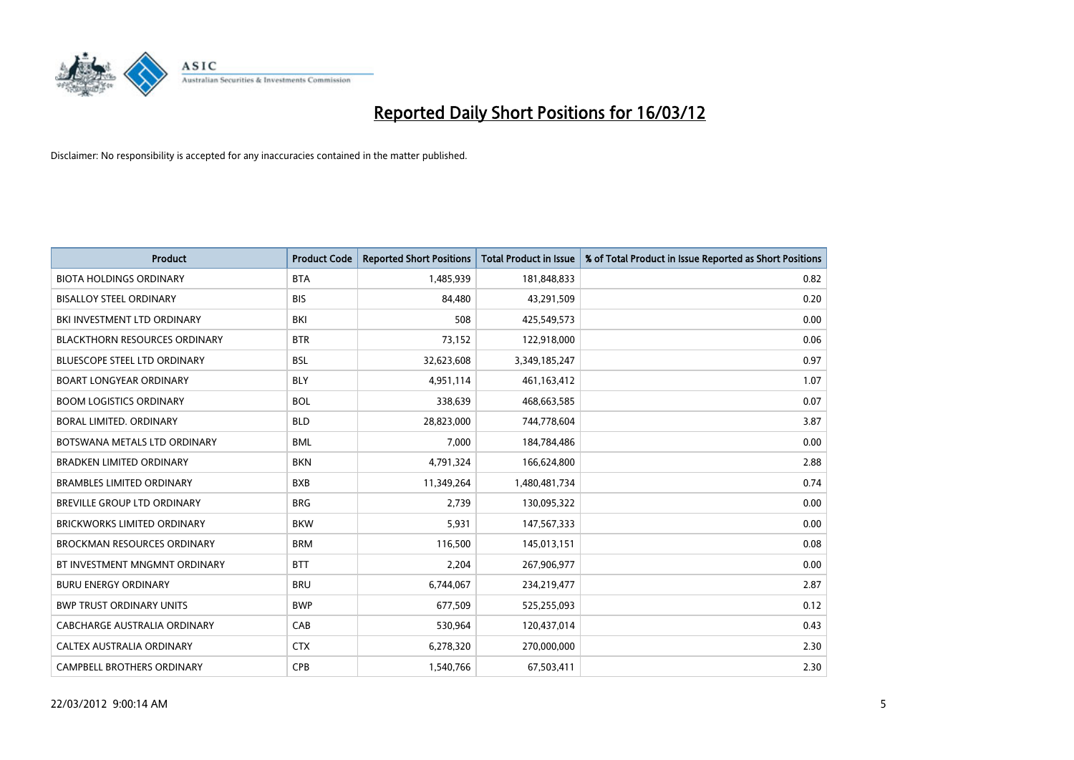

| <b>Product</b>                       | <b>Product Code</b> | <b>Reported Short Positions</b> | <b>Total Product in Issue</b> | % of Total Product in Issue Reported as Short Positions |
|--------------------------------------|---------------------|---------------------------------|-------------------------------|---------------------------------------------------------|
| <b>BIOTA HOLDINGS ORDINARY</b>       | <b>BTA</b>          | 1,485,939                       | 181,848,833                   | 0.82                                                    |
| <b>BISALLOY STEEL ORDINARY</b>       | <b>BIS</b>          | 84,480                          | 43,291,509                    | 0.20                                                    |
| BKI INVESTMENT LTD ORDINARY          | BKI                 | 508                             | 425,549,573                   | 0.00                                                    |
| <b>BLACKTHORN RESOURCES ORDINARY</b> | <b>BTR</b>          | 73,152                          | 122,918,000                   | 0.06                                                    |
| <b>BLUESCOPE STEEL LTD ORDINARY</b>  | <b>BSL</b>          | 32,623,608                      | 3,349,185,247                 | 0.97                                                    |
| <b>BOART LONGYEAR ORDINARY</b>       | <b>BLY</b>          | 4,951,114                       | 461,163,412                   | 1.07                                                    |
| <b>BOOM LOGISTICS ORDINARY</b>       | <b>BOL</b>          | 338,639                         | 468,663,585                   | 0.07                                                    |
| BORAL LIMITED, ORDINARY              | <b>BLD</b>          | 28,823,000                      | 744,778,604                   | 3.87                                                    |
| BOTSWANA METALS LTD ORDINARY         | <b>BML</b>          | 7,000                           | 184,784,486                   | 0.00                                                    |
| <b>BRADKEN LIMITED ORDINARY</b>      | <b>BKN</b>          | 4,791,324                       | 166,624,800                   | 2.88                                                    |
| <b>BRAMBLES LIMITED ORDINARY</b>     | <b>BXB</b>          | 11,349,264                      | 1,480,481,734                 | 0.74                                                    |
| <b>BREVILLE GROUP LTD ORDINARY</b>   | <b>BRG</b>          | 2,739                           | 130,095,322                   | 0.00                                                    |
| <b>BRICKWORKS LIMITED ORDINARY</b>   | <b>BKW</b>          | 5,931                           | 147,567,333                   | 0.00                                                    |
| <b>BROCKMAN RESOURCES ORDINARY</b>   | <b>BRM</b>          | 116,500                         | 145,013,151                   | 0.08                                                    |
| BT INVESTMENT MNGMNT ORDINARY        | <b>BTT</b>          | 2,204                           | 267,906,977                   | 0.00                                                    |
| <b>BURU ENERGY ORDINARY</b>          | <b>BRU</b>          | 6,744,067                       | 234,219,477                   | 2.87                                                    |
| <b>BWP TRUST ORDINARY UNITS</b>      | <b>BWP</b>          | 677,509                         | 525,255,093                   | 0.12                                                    |
| CABCHARGE AUSTRALIA ORDINARY         | CAB                 | 530,964                         | 120,437,014                   | 0.43                                                    |
| CALTEX AUSTRALIA ORDINARY            | <b>CTX</b>          | 6,278,320                       | 270,000,000                   | 2.30                                                    |
| CAMPBELL BROTHERS ORDINARY           | <b>CPB</b>          | 1,540,766                       | 67,503,411                    | 2.30                                                    |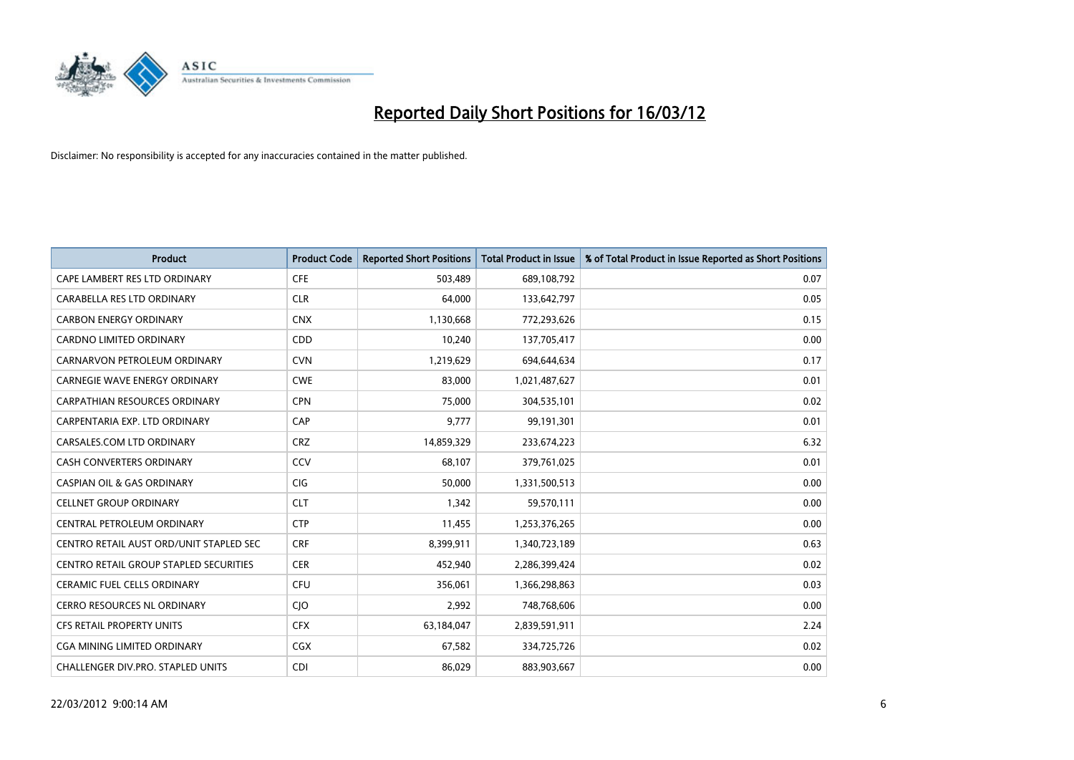

| <b>Product</b>                                | <b>Product Code</b> | <b>Reported Short Positions</b> | <b>Total Product in Issue</b> | % of Total Product in Issue Reported as Short Positions |
|-----------------------------------------------|---------------------|---------------------------------|-------------------------------|---------------------------------------------------------|
| CAPE LAMBERT RES LTD ORDINARY                 | <b>CFE</b>          | 503,489                         | 689,108,792                   | 0.07                                                    |
| CARABELLA RES LTD ORDINARY                    | <b>CLR</b>          | 64,000                          | 133,642,797                   | 0.05                                                    |
| <b>CARBON ENERGY ORDINARY</b>                 | <b>CNX</b>          | 1,130,668                       | 772,293,626                   | 0.15                                                    |
| CARDNO LIMITED ORDINARY                       | CDD                 | 10,240                          | 137,705,417                   | 0.00                                                    |
| CARNARVON PETROLEUM ORDINARY                  | <b>CVN</b>          | 1,219,629                       | 694,644,634                   | 0.17                                                    |
| <b>CARNEGIE WAVE ENERGY ORDINARY</b>          | <b>CWE</b>          | 83,000                          | 1,021,487,627                 | 0.01                                                    |
| <b>CARPATHIAN RESOURCES ORDINARY</b>          | <b>CPN</b>          | 75,000                          | 304,535,101                   | 0.02                                                    |
| CARPENTARIA EXP. LTD ORDINARY                 | CAP                 | 9,777                           | 99,191,301                    | 0.01                                                    |
| CARSALES.COM LTD ORDINARY                     | <b>CRZ</b>          | 14,859,329                      | 233,674,223                   | 6.32                                                    |
| <b>CASH CONVERTERS ORDINARY</b>               | CCV                 | 68,107                          | 379,761,025                   | 0.01                                                    |
| <b>CASPIAN OIL &amp; GAS ORDINARY</b>         | CIG                 | 50,000                          | 1,331,500,513                 | 0.00                                                    |
| <b>CELLNET GROUP ORDINARY</b>                 | <b>CLT</b>          | 1,342                           | 59,570,111                    | 0.00                                                    |
| CENTRAL PETROLEUM ORDINARY                    | <b>CTP</b>          | 11,455                          | 1,253,376,265                 | 0.00                                                    |
| CENTRO RETAIL AUST ORD/UNIT STAPLED SEC       | <b>CRF</b>          | 8,399,911                       | 1,340,723,189                 | 0.63                                                    |
| <b>CENTRO RETAIL GROUP STAPLED SECURITIES</b> | <b>CER</b>          | 452,940                         | 2,286,399,424                 | 0.02                                                    |
| CERAMIC FUEL CELLS ORDINARY                   | <b>CFU</b>          | 356,061                         | 1,366,298,863                 | 0.03                                                    |
| CERRO RESOURCES NL ORDINARY                   | <b>CJO</b>          | 2,992                           | 748,768,606                   | 0.00                                                    |
| CFS RETAIL PROPERTY UNITS                     | <b>CFX</b>          | 63,184,047                      | 2,839,591,911                 | 2.24                                                    |
| CGA MINING LIMITED ORDINARY                   | CGX                 | 67,582                          | 334,725,726                   | 0.02                                                    |
| CHALLENGER DIV.PRO. STAPLED UNITS             | <b>CDI</b>          | 86,029                          | 883,903,667                   | 0.00                                                    |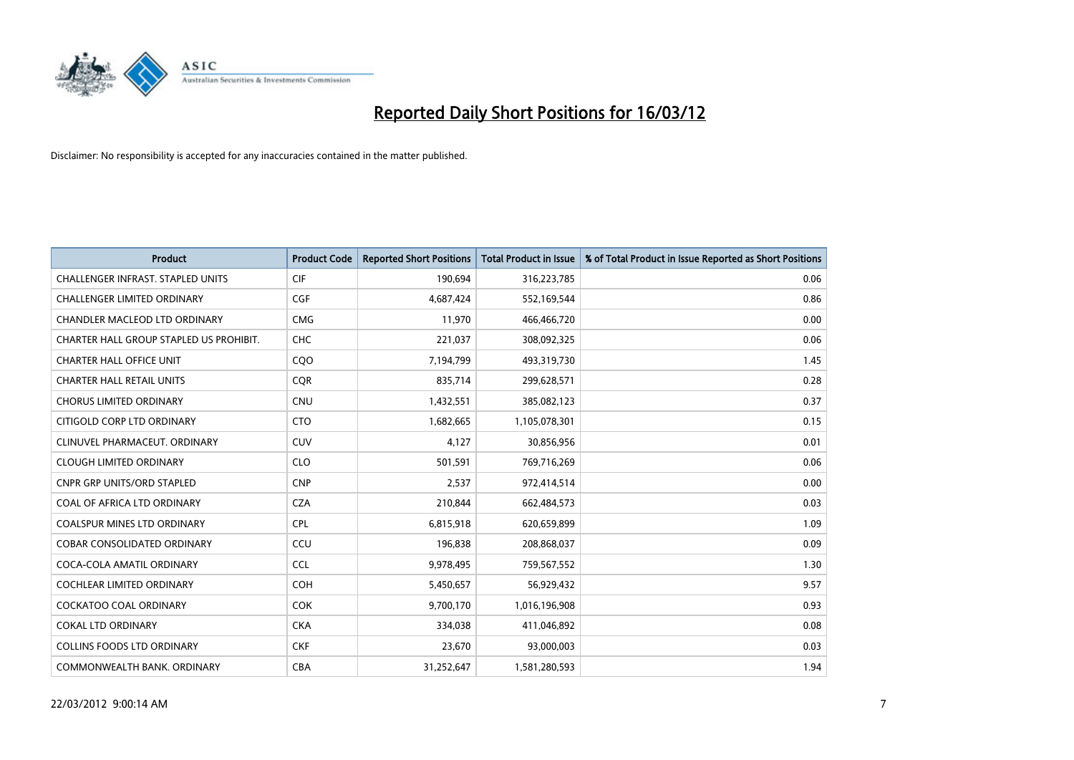

| <b>Product</b>                           | <b>Product Code</b> | <b>Reported Short Positions</b> | <b>Total Product in Issue</b> | % of Total Product in Issue Reported as Short Positions |
|------------------------------------------|---------------------|---------------------------------|-------------------------------|---------------------------------------------------------|
| <b>CHALLENGER INFRAST, STAPLED UNITS</b> | <b>CIF</b>          | 190,694                         | 316,223,785                   | 0.06                                                    |
| CHALLENGER LIMITED ORDINARY              | <b>CGF</b>          | 4,687,424                       | 552,169,544                   | 0.86                                                    |
| CHANDLER MACLEOD LTD ORDINARY            | <b>CMG</b>          | 11,970                          | 466,466,720                   | 0.00                                                    |
| CHARTER HALL GROUP STAPLED US PROHIBIT.  | <b>CHC</b>          | 221,037                         | 308,092,325                   | 0.06                                                    |
| <b>CHARTER HALL OFFICE UNIT</b>          | CQ <sub>O</sub>     | 7,194,799                       | 493,319,730                   | 1.45                                                    |
| <b>CHARTER HALL RETAIL UNITS</b>         | CQR                 | 835,714                         | 299,628,571                   | 0.28                                                    |
| <b>CHORUS LIMITED ORDINARY</b>           | <b>CNU</b>          | 1,432,551                       | 385,082,123                   | 0.37                                                    |
| CITIGOLD CORP LTD ORDINARY               | <b>CTO</b>          | 1,682,665                       | 1,105,078,301                 | 0.15                                                    |
| CLINUVEL PHARMACEUT, ORDINARY            | CUV                 | 4,127                           | 30,856,956                    | 0.01                                                    |
| <b>CLOUGH LIMITED ORDINARY</b>           | <b>CLO</b>          | 501,591                         | 769,716,269                   | 0.06                                                    |
| CNPR GRP UNITS/ORD STAPLED               | <b>CNP</b>          | 2,537                           | 972,414,514                   | 0.00                                                    |
| COAL OF AFRICA LTD ORDINARY              | <b>CZA</b>          | 210,844                         | 662,484,573                   | 0.03                                                    |
| COALSPUR MINES LTD ORDINARY              | <b>CPL</b>          | 6,815,918                       | 620,659,899                   | 1.09                                                    |
| <b>COBAR CONSOLIDATED ORDINARY</b>       | CCU                 | 196,838                         | 208,868,037                   | 0.09                                                    |
| COCA-COLA AMATIL ORDINARY                | <b>CCL</b>          | 9,978,495                       | 759,567,552                   | 1.30                                                    |
| COCHLEAR LIMITED ORDINARY                | <b>COH</b>          | 5,450,657                       | 56,929,432                    | 9.57                                                    |
| COCKATOO COAL ORDINARY                   | <b>COK</b>          | 9,700,170                       | 1,016,196,908                 | 0.93                                                    |
| <b>COKAL LTD ORDINARY</b>                | <b>CKA</b>          | 334,038                         | 411,046,892                   | 0.08                                                    |
| <b>COLLINS FOODS LTD ORDINARY</b>        | <b>CKF</b>          | 23,670                          | 93,000,003                    | 0.03                                                    |
| COMMONWEALTH BANK, ORDINARY              | <b>CBA</b>          | 31,252,647                      | 1,581,280,593                 | 1.94                                                    |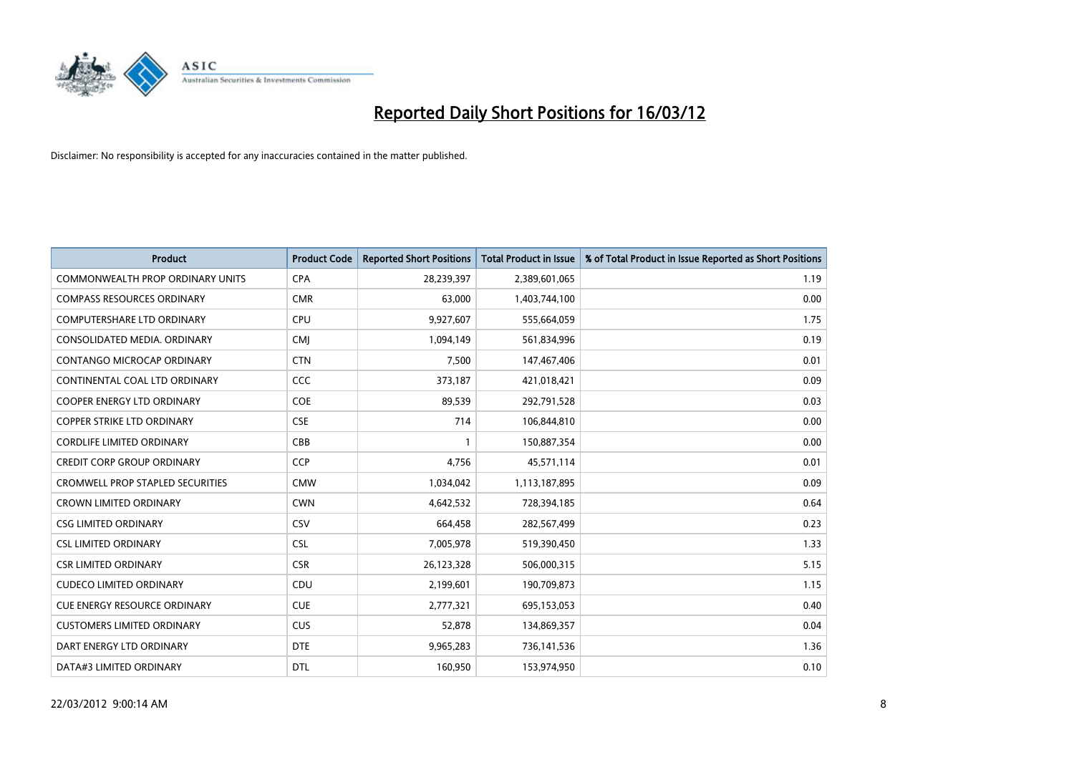

| <b>Product</b>                          | <b>Product Code</b> | <b>Reported Short Positions</b> | <b>Total Product in Issue</b> | % of Total Product in Issue Reported as Short Positions |
|-----------------------------------------|---------------------|---------------------------------|-------------------------------|---------------------------------------------------------|
| <b>COMMONWEALTH PROP ORDINARY UNITS</b> | <b>CPA</b>          | 28,239,397                      | 2,389,601,065                 | 1.19                                                    |
| <b>COMPASS RESOURCES ORDINARY</b>       | <b>CMR</b>          | 63,000                          | 1,403,744,100                 | 0.00                                                    |
| <b>COMPUTERSHARE LTD ORDINARY</b>       | <b>CPU</b>          | 9,927,607                       | 555,664,059                   | 1.75                                                    |
| CONSOLIDATED MEDIA. ORDINARY            | <b>CMI</b>          | 1,094,149                       | 561,834,996                   | 0.19                                                    |
| <b>CONTANGO MICROCAP ORDINARY</b>       | <b>CTN</b>          | 7,500                           | 147,467,406                   | 0.01                                                    |
| CONTINENTAL COAL LTD ORDINARY           | CCC                 | 373,187                         | 421,018,421                   | 0.09                                                    |
| <b>COOPER ENERGY LTD ORDINARY</b>       | <b>COE</b>          | 89,539                          | 292,791,528                   | 0.03                                                    |
| <b>COPPER STRIKE LTD ORDINARY</b>       | <b>CSE</b>          | 714                             | 106,844,810                   | 0.00                                                    |
| <b>CORDLIFE LIMITED ORDINARY</b>        | CBB                 |                                 | 150,887,354                   | 0.00                                                    |
| <b>CREDIT CORP GROUP ORDINARY</b>       | <b>CCP</b>          | 4,756                           | 45,571,114                    | 0.01                                                    |
| <b>CROMWELL PROP STAPLED SECURITIES</b> | <b>CMW</b>          | 1,034,042                       | 1,113,187,895                 | 0.09                                                    |
| <b>CROWN LIMITED ORDINARY</b>           | <b>CWN</b>          | 4,642,532                       | 728,394,185                   | 0.64                                                    |
| <b>CSG LIMITED ORDINARY</b>             | CSV                 | 664,458                         | 282,567,499                   | 0.23                                                    |
| <b>CSL LIMITED ORDINARY</b>             | <b>CSL</b>          | 7,005,978                       | 519,390,450                   | 1.33                                                    |
| <b>CSR LIMITED ORDINARY</b>             | <b>CSR</b>          | 26,123,328                      | 506,000,315                   | 5.15                                                    |
| <b>CUDECO LIMITED ORDINARY</b>          | CDU                 | 2,199,601                       | 190,709,873                   | 1.15                                                    |
| CUE ENERGY RESOURCE ORDINARY            | <b>CUE</b>          | 2,777,321                       | 695,153,053                   | 0.40                                                    |
| <b>CUSTOMERS LIMITED ORDINARY</b>       | <b>CUS</b>          | 52,878                          | 134,869,357                   | 0.04                                                    |
| DART ENERGY LTD ORDINARY                | <b>DTE</b>          | 9,965,283                       | 736,141,536                   | 1.36                                                    |
| DATA#3 LIMITED ORDINARY                 | <b>DTL</b>          | 160,950                         | 153,974,950                   | 0.10                                                    |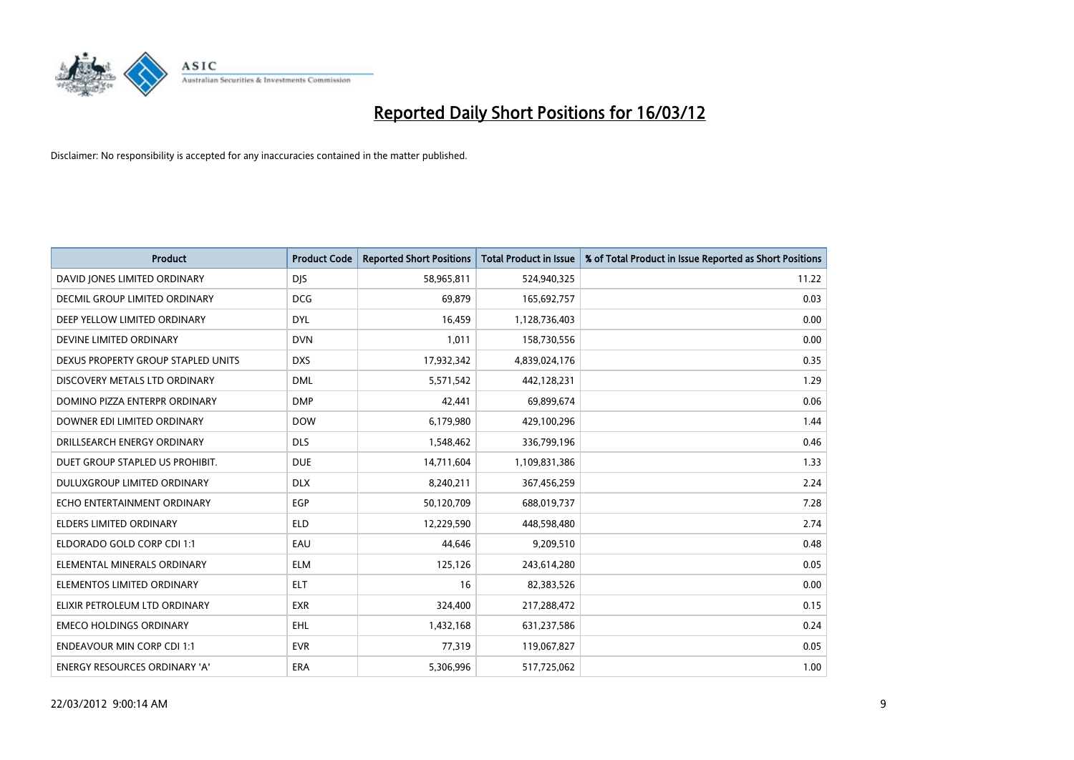

| <b>Product</b>                     | <b>Product Code</b> | <b>Reported Short Positions</b> | <b>Total Product in Issue</b> | % of Total Product in Issue Reported as Short Positions |
|------------------------------------|---------------------|---------------------------------|-------------------------------|---------------------------------------------------------|
| DAVID JONES LIMITED ORDINARY       | <b>DJS</b>          | 58,965,811                      | 524,940,325                   | 11.22                                                   |
| DECMIL GROUP LIMITED ORDINARY      | <b>DCG</b>          | 69,879                          | 165,692,757                   | 0.03                                                    |
| DEEP YELLOW LIMITED ORDINARY       | <b>DYL</b>          | 16,459                          | 1,128,736,403                 | 0.00                                                    |
| DEVINE LIMITED ORDINARY            | <b>DVN</b>          | 1,011                           | 158,730,556                   | 0.00                                                    |
| DEXUS PROPERTY GROUP STAPLED UNITS | <b>DXS</b>          | 17,932,342                      | 4,839,024,176                 | 0.35                                                    |
| DISCOVERY METALS LTD ORDINARY      | <b>DML</b>          | 5,571,542                       | 442,128,231                   | 1.29                                                    |
| DOMINO PIZZA ENTERPR ORDINARY      | <b>DMP</b>          | 42,441                          | 69,899,674                    | 0.06                                                    |
| DOWNER EDI LIMITED ORDINARY        | <b>DOW</b>          | 6,179,980                       | 429,100,296                   | 1.44                                                    |
| DRILLSEARCH ENERGY ORDINARY        | <b>DLS</b>          | 1,548,462                       | 336,799,196                   | 0.46                                                    |
| DUET GROUP STAPLED US PROHIBIT.    | <b>DUE</b>          | 14,711,604                      | 1,109,831,386                 | 1.33                                                    |
| DULUXGROUP LIMITED ORDINARY        | <b>DLX</b>          | 8,240,211                       | 367,456,259                   | 2.24                                                    |
| ECHO ENTERTAINMENT ORDINARY        | <b>EGP</b>          | 50,120,709                      | 688,019,737                   | 7.28                                                    |
| ELDERS LIMITED ORDINARY            | <b>ELD</b>          | 12,229,590                      | 448,598,480                   | 2.74                                                    |
| ELDORADO GOLD CORP CDI 1:1         | EAU                 | 44,646                          | 9,209,510                     | 0.48                                                    |
| ELEMENTAL MINERALS ORDINARY        | <b>ELM</b>          | 125,126                         | 243,614,280                   | 0.05                                                    |
| ELEMENTOS LIMITED ORDINARY         | <b>ELT</b>          | 16                              | 82,383,526                    | 0.00                                                    |
| ELIXIR PETROLEUM LTD ORDINARY      | <b>EXR</b>          | 324,400                         | 217,288,472                   | 0.15                                                    |
| <b>EMECO HOLDINGS ORDINARY</b>     | <b>EHL</b>          | 1,432,168                       | 631,237,586                   | 0.24                                                    |
| <b>ENDEAVOUR MIN CORP CDI 1:1</b>  | <b>EVR</b>          | 77,319                          | 119,067,827                   | 0.05                                                    |
| ENERGY RESOURCES ORDINARY 'A'      | ERA                 | 5,306,996                       | 517,725,062                   | 1.00                                                    |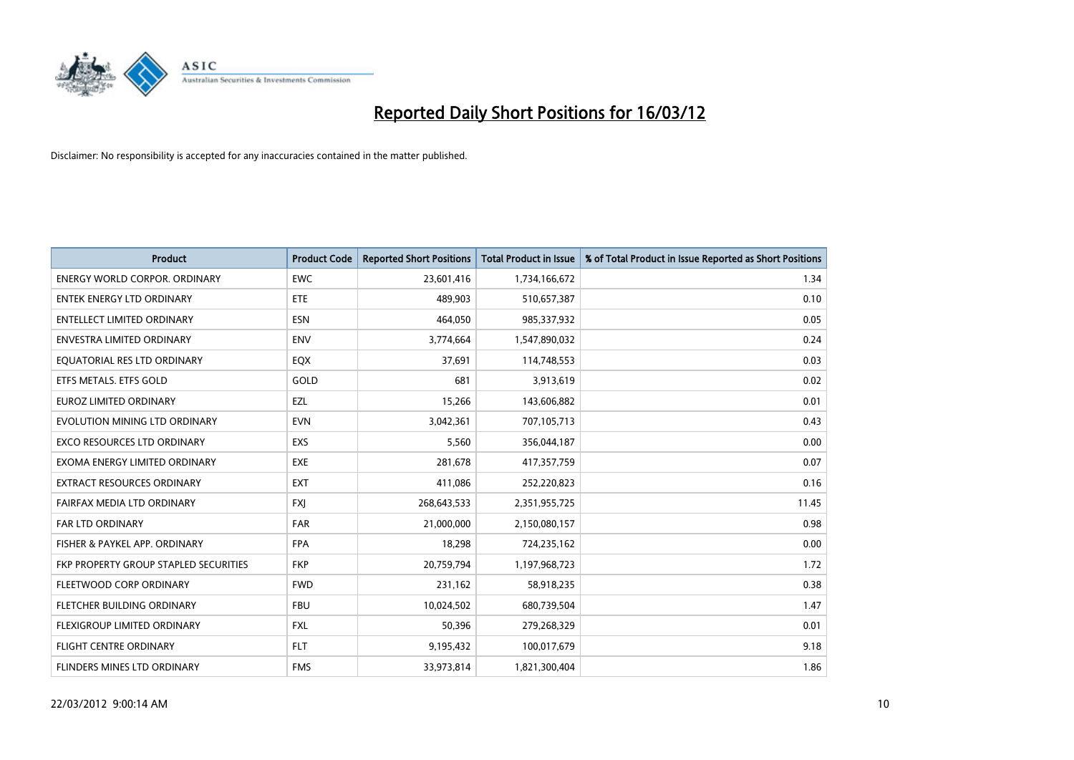

| <b>Product</b>                        | <b>Product Code</b> | <b>Reported Short Positions</b> | <b>Total Product in Issue</b> | % of Total Product in Issue Reported as Short Positions |
|---------------------------------------|---------------------|---------------------------------|-------------------------------|---------------------------------------------------------|
| <b>ENERGY WORLD CORPOR, ORDINARY</b>  | <b>EWC</b>          | 23,601,416                      | 1,734,166,672                 | 1.34                                                    |
| <b>ENTEK ENERGY LTD ORDINARY</b>      | ETE                 | 489,903                         | 510,657,387                   | 0.10                                                    |
| <b>ENTELLECT LIMITED ORDINARY</b>     | <b>ESN</b>          | 464,050                         | 985,337,932                   | 0.05                                                    |
| <b>ENVESTRA LIMITED ORDINARY</b>      | <b>ENV</b>          | 3,774,664                       | 1,547,890,032                 | 0.24                                                    |
| EQUATORIAL RES LTD ORDINARY           | EQX                 | 37,691                          | 114,748,553                   | 0.03                                                    |
| ETFS METALS. ETFS GOLD                | GOLD                | 681                             | 3,913,619                     | 0.02                                                    |
| <b>EUROZ LIMITED ORDINARY</b>         | <b>EZL</b>          | 15,266                          | 143,606,882                   | 0.01                                                    |
| EVOLUTION MINING LTD ORDINARY         | <b>EVN</b>          | 3,042,361                       | 707,105,713                   | 0.43                                                    |
| <b>EXCO RESOURCES LTD ORDINARY</b>    | <b>EXS</b>          | 5,560                           | 356,044,187                   | 0.00                                                    |
| EXOMA ENERGY LIMITED ORDINARY         | EXE                 | 281,678                         | 417,357,759                   | 0.07                                                    |
| EXTRACT RESOURCES ORDINARY            | <b>EXT</b>          | 411,086                         | 252,220,823                   | 0.16                                                    |
| FAIRFAX MEDIA LTD ORDINARY            | <b>FXJ</b>          | 268,643,533                     | 2,351,955,725                 | 11.45                                                   |
| <b>FAR LTD ORDINARY</b>               | <b>FAR</b>          | 21,000,000                      | 2,150,080,157                 | 0.98                                                    |
| FISHER & PAYKEL APP. ORDINARY         | <b>FPA</b>          | 18,298                          | 724,235,162                   | 0.00                                                    |
| FKP PROPERTY GROUP STAPLED SECURITIES | <b>FKP</b>          | 20,759,794                      | 1,197,968,723                 | 1.72                                                    |
| FLEETWOOD CORP ORDINARY               | <b>FWD</b>          | 231,162                         | 58,918,235                    | 0.38                                                    |
| FLETCHER BUILDING ORDINARY            | <b>FBU</b>          | 10,024,502                      | 680,739,504                   | 1.47                                                    |
| FLEXIGROUP LIMITED ORDINARY           | FXL                 | 50.396                          | 279,268,329                   | 0.01                                                    |
| <b>FLIGHT CENTRE ORDINARY</b>         | <b>FLT</b>          | 9,195,432                       | 100,017,679                   | 9.18                                                    |
| <b>FLINDERS MINES LTD ORDINARY</b>    | <b>FMS</b>          | 33,973,814                      | 1,821,300,404                 | 1.86                                                    |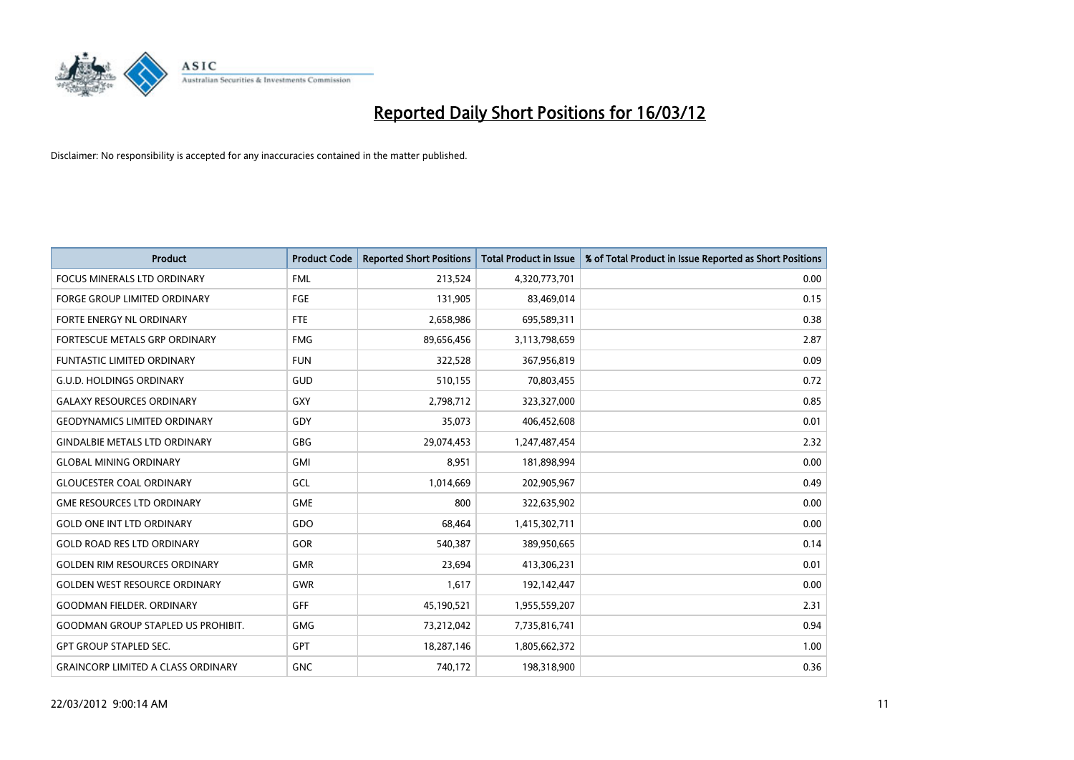

| <b>Product</b>                            | <b>Product Code</b> | <b>Reported Short Positions</b> | <b>Total Product in Issue</b> | % of Total Product in Issue Reported as Short Positions |
|-------------------------------------------|---------------------|---------------------------------|-------------------------------|---------------------------------------------------------|
| <b>FOCUS MINERALS LTD ORDINARY</b>        | <b>FML</b>          | 213,524                         | 4,320,773,701                 | 0.00                                                    |
| <b>FORGE GROUP LIMITED ORDINARY</b>       | FGE                 | 131,905                         | 83,469,014                    | 0.15                                                    |
| FORTE ENERGY NL ORDINARY                  | FTE                 | 2,658,986                       | 695,589,311                   | 0.38                                                    |
| FORTESCUE METALS GRP ORDINARY             | <b>FMG</b>          | 89,656,456                      | 3,113,798,659                 | 2.87                                                    |
| <b>FUNTASTIC LIMITED ORDINARY</b>         | <b>FUN</b>          | 322,528                         | 367,956,819                   | 0.09                                                    |
| <b>G.U.D. HOLDINGS ORDINARY</b>           | GUD                 | 510,155                         | 70,803,455                    | 0.72                                                    |
| <b>GALAXY RESOURCES ORDINARY</b>          | <b>GXY</b>          | 2,798,712                       | 323,327,000                   | 0.85                                                    |
| <b>GEODYNAMICS LIMITED ORDINARY</b>       | GDY                 | 35,073                          | 406,452,608                   | 0.01                                                    |
| <b>GINDALBIE METALS LTD ORDINARY</b>      | GBG                 | 29,074,453                      | 1,247,487,454                 | 2.32                                                    |
| <b>GLOBAL MINING ORDINARY</b>             | GMI                 | 8,951                           | 181,898,994                   | 0.00                                                    |
| <b>GLOUCESTER COAL ORDINARY</b>           | GCL                 | 1,014,669                       | 202,905,967                   | 0.49                                                    |
| <b>GME RESOURCES LTD ORDINARY</b>         | <b>GME</b>          | 800                             | 322,635,902                   | 0.00                                                    |
| <b>GOLD ONE INT LTD ORDINARY</b>          | GDO                 | 68,464                          | 1,415,302,711                 | 0.00                                                    |
| <b>GOLD ROAD RES LTD ORDINARY</b>         | GOR                 | 540,387                         | 389,950,665                   | 0.14                                                    |
| <b>GOLDEN RIM RESOURCES ORDINARY</b>      | <b>GMR</b>          | 23,694                          | 413,306,231                   | 0.01                                                    |
| <b>GOLDEN WEST RESOURCE ORDINARY</b>      | GWR                 | 1,617                           | 192,142,447                   | 0.00                                                    |
| <b>GOODMAN FIELDER, ORDINARY</b>          | <b>GFF</b>          | 45,190,521                      | 1,955,559,207                 | 2.31                                                    |
| <b>GOODMAN GROUP STAPLED US PROHIBIT.</b> | <b>GMG</b>          | 73,212,042                      | 7,735,816,741                 | 0.94                                                    |
| <b>GPT GROUP STAPLED SEC.</b>             | <b>GPT</b>          | 18,287,146                      | 1,805,662,372                 | 1.00                                                    |
| <b>GRAINCORP LIMITED A CLASS ORDINARY</b> | <b>GNC</b>          | 740,172                         | 198,318,900                   | 0.36                                                    |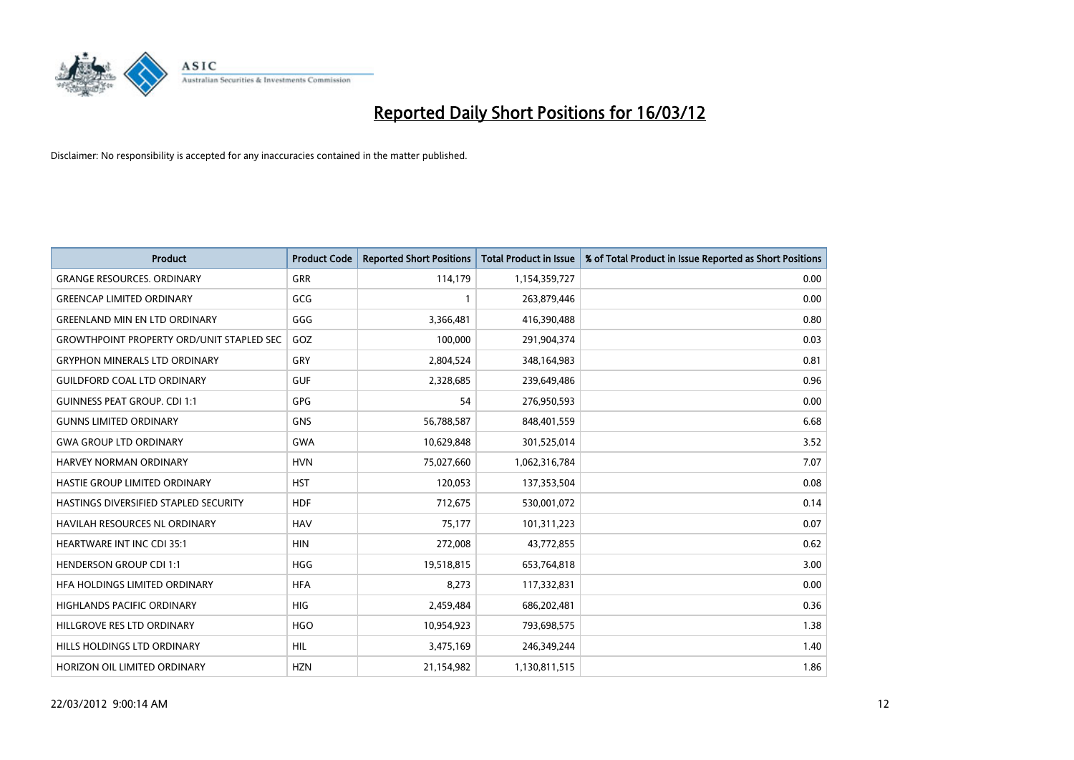

| <b>Product</b>                                   | <b>Product Code</b> | <b>Reported Short Positions</b> | <b>Total Product in Issue</b> | % of Total Product in Issue Reported as Short Positions |
|--------------------------------------------------|---------------------|---------------------------------|-------------------------------|---------------------------------------------------------|
| <b>GRANGE RESOURCES, ORDINARY</b>                | GRR                 | 114,179                         | 1,154,359,727                 | 0.00                                                    |
| <b>GREENCAP LIMITED ORDINARY</b>                 | GCG                 |                                 | 263,879,446                   | 0.00                                                    |
| <b>GREENLAND MIN EN LTD ORDINARY</b>             | GGG                 | 3,366,481                       | 416,390,488                   | 0.80                                                    |
| <b>GROWTHPOINT PROPERTY ORD/UNIT STAPLED SEC</b> | GOZ                 | 100,000                         | 291,904,374                   | 0.03                                                    |
| <b>GRYPHON MINERALS LTD ORDINARY</b>             | GRY                 | 2,804,524                       | 348,164,983                   | 0.81                                                    |
| <b>GUILDFORD COAL LTD ORDINARY</b>               | <b>GUF</b>          | 2,328,685                       | 239,649,486                   | 0.96                                                    |
| <b>GUINNESS PEAT GROUP. CDI 1:1</b>              | GPG                 | 54                              | 276,950,593                   | 0.00                                                    |
| <b>GUNNS LIMITED ORDINARY</b>                    | <b>GNS</b>          | 56,788,587                      | 848,401,559                   | 6.68                                                    |
| <b>GWA GROUP LTD ORDINARY</b>                    | <b>GWA</b>          | 10,629,848                      | 301,525,014                   | 3.52                                                    |
| <b>HARVEY NORMAN ORDINARY</b>                    | <b>HVN</b>          | 75,027,660                      | 1,062,316,784                 | 7.07                                                    |
| HASTIE GROUP LIMITED ORDINARY                    | <b>HST</b>          | 120,053                         | 137,353,504                   | 0.08                                                    |
| HASTINGS DIVERSIFIED STAPLED SECURITY            | <b>HDF</b>          | 712,675                         | 530,001,072                   | 0.14                                                    |
| HAVILAH RESOURCES NL ORDINARY                    | <b>HAV</b>          | 75,177                          | 101,311,223                   | 0.07                                                    |
| <b>HEARTWARE INT INC CDI 35:1</b>                | <b>HIN</b>          | 272,008                         | 43,772,855                    | 0.62                                                    |
| <b>HENDERSON GROUP CDI 1:1</b>                   | <b>HGG</b>          | 19,518,815                      | 653,764,818                   | 3.00                                                    |
| HFA HOLDINGS LIMITED ORDINARY                    | <b>HFA</b>          | 8,273                           | 117,332,831                   | 0.00                                                    |
| HIGHLANDS PACIFIC ORDINARY                       | <b>HIG</b>          | 2,459,484                       | 686,202,481                   | 0.36                                                    |
| HILLGROVE RES LTD ORDINARY                       | <b>HGO</b>          | 10,954,923                      | 793,698,575                   | 1.38                                                    |
| HILLS HOLDINGS LTD ORDINARY                      | <b>HIL</b>          | 3,475,169                       | 246,349,244                   | 1.40                                                    |
| HORIZON OIL LIMITED ORDINARY                     | <b>HZN</b>          | 21,154,982                      | 1,130,811,515                 | 1.86                                                    |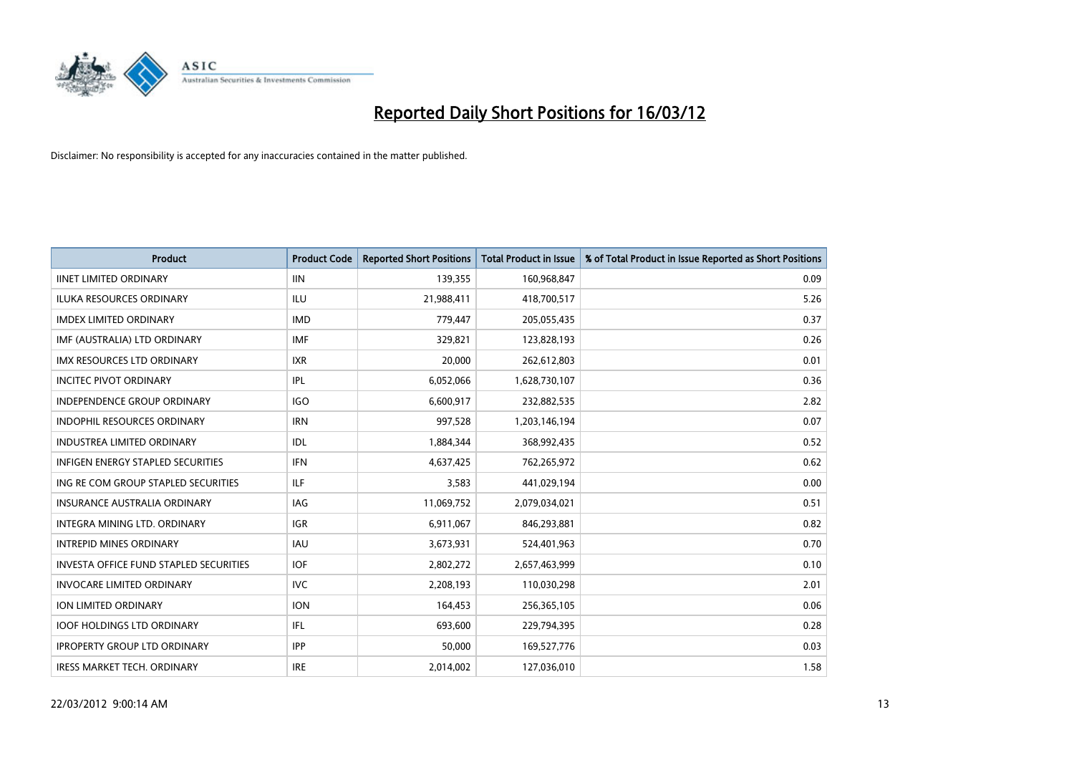

| <b>Product</b>                                | <b>Product Code</b> | <b>Reported Short Positions</b> | <b>Total Product in Issue</b> | % of Total Product in Issue Reported as Short Positions |
|-----------------------------------------------|---------------------|---------------------------------|-------------------------------|---------------------------------------------------------|
| <b>IINET LIMITED ORDINARY</b>                 | <b>IIN</b>          | 139,355                         | 160,968,847                   | 0.09                                                    |
| ILUKA RESOURCES ORDINARY                      | ILU                 | 21,988,411                      | 418,700,517                   | 5.26                                                    |
| <b>IMDEX LIMITED ORDINARY</b>                 | <b>IMD</b>          | 779,447                         | 205,055,435                   | 0.37                                                    |
| IMF (AUSTRALIA) LTD ORDINARY                  | <b>IMF</b>          | 329,821                         | 123,828,193                   | 0.26                                                    |
| <b>IMX RESOURCES LTD ORDINARY</b>             | <b>IXR</b>          | 20,000                          | 262,612,803                   | 0.01                                                    |
| <b>INCITEC PIVOT ORDINARY</b>                 | <b>IPL</b>          | 6,052,066                       | 1,628,730,107                 | 0.36                                                    |
| INDEPENDENCE GROUP ORDINARY                   | <b>IGO</b>          | 6,600,917                       | 232,882,535                   | 2.82                                                    |
| INDOPHIL RESOURCES ORDINARY                   | <b>IRN</b>          | 997,528                         | 1,203,146,194                 | 0.07                                                    |
| <b>INDUSTREA LIMITED ORDINARY</b>             | <b>IDL</b>          | 1,884,344                       | 368,992,435                   | 0.52                                                    |
| <b>INFIGEN ENERGY STAPLED SECURITIES</b>      | <b>IFN</b>          | 4,637,425                       | 762,265,972                   | 0.62                                                    |
| ING RE COM GROUP STAPLED SECURITIES           | ILF                 | 3,583                           | 441,029,194                   | 0.00                                                    |
| <b>INSURANCE AUSTRALIA ORDINARY</b>           | IAG                 | 11,069,752                      | 2,079,034,021                 | 0.51                                                    |
| INTEGRA MINING LTD. ORDINARY                  | <b>IGR</b>          | 6,911,067                       | 846,293,881                   | 0.82                                                    |
| <b>INTREPID MINES ORDINARY</b>                | <b>IAU</b>          | 3,673,931                       | 524,401,963                   | 0.70                                                    |
| <b>INVESTA OFFICE FUND STAPLED SECURITIES</b> | <b>IOF</b>          | 2,802,272                       | 2,657,463,999                 | 0.10                                                    |
| <b>INVOCARE LIMITED ORDINARY</b>              | <b>IVC</b>          | 2,208,193                       | 110,030,298                   | 2.01                                                    |
| ION LIMITED ORDINARY                          | <b>ION</b>          | 164,453                         | 256,365,105                   | 0.06                                                    |
| <b>IOOF HOLDINGS LTD ORDINARY</b>             | IFL                 | 693,600                         | 229,794,395                   | 0.28                                                    |
| <b>IPROPERTY GROUP LTD ORDINARY</b>           | <b>IPP</b>          | 50,000                          | 169,527,776                   | 0.03                                                    |
| <b>IRESS MARKET TECH. ORDINARY</b>            | <b>IRE</b>          | 2,014,002                       | 127,036,010                   | 1.58                                                    |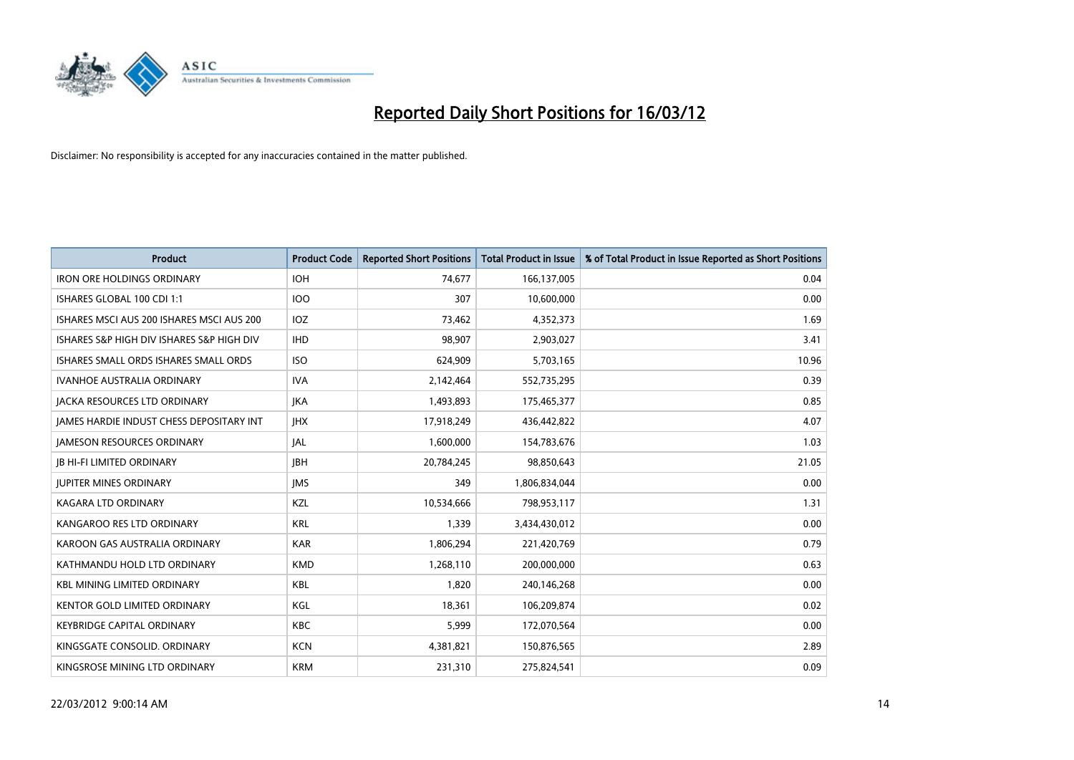

| <b>Product</b>                            | <b>Product Code</b> | <b>Reported Short Positions</b> | <b>Total Product in Issue</b> | % of Total Product in Issue Reported as Short Positions |
|-------------------------------------------|---------------------|---------------------------------|-------------------------------|---------------------------------------------------------|
| <b>IRON ORE HOLDINGS ORDINARY</b>         | <b>IOH</b>          | 74,677                          | 166,137,005                   | 0.04                                                    |
| ISHARES GLOBAL 100 CDI 1:1                | <b>IOO</b>          | 307                             | 10,600,000                    | 0.00                                                    |
| ISHARES MSCI AUS 200 ISHARES MSCI AUS 200 | IOZ                 | 73,462                          | 4,352,373                     | 1.69                                                    |
| ISHARES S&P HIGH DIV ISHARES S&P HIGH DIV | <b>IHD</b>          | 98,907                          | 2,903,027                     | 3.41                                                    |
| ISHARES SMALL ORDS ISHARES SMALL ORDS     | <b>ISO</b>          | 624,909                         | 5,703,165                     | 10.96                                                   |
| <b>IVANHOE AUSTRALIA ORDINARY</b>         | <b>IVA</b>          | 2,142,464                       | 552,735,295                   | 0.39                                                    |
| <b>JACKA RESOURCES LTD ORDINARY</b>       | JKA                 | 1,493,893                       | 175,465,377                   | 0.85                                                    |
| JAMES HARDIE INDUST CHESS DEPOSITARY INT  | <b>IHX</b>          | 17,918,249                      | 436,442,822                   | 4.07                                                    |
| <b>JAMESON RESOURCES ORDINARY</b>         | JAL                 | 1,600,000                       | 154,783,676                   | 1.03                                                    |
| <b>JB HI-FI LIMITED ORDINARY</b>          | <b>JBH</b>          | 20,784,245                      | 98,850,643                    | 21.05                                                   |
| <b>JUPITER MINES ORDINARY</b>             | <b>IMS</b>          | 349                             | 1,806,834,044                 | 0.00                                                    |
| KAGARA LTD ORDINARY                       | KZL                 | 10,534,666                      | 798,953,117                   | 1.31                                                    |
| KANGAROO RES LTD ORDINARY                 | <b>KRL</b>          | 1,339                           | 3,434,430,012                 | 0.00                                                    |
| KAROON GAS AUSTRALIA ORDINARY             | <b>KAR</b>          | 1,806,294                       | 221,420,769                   | 0.79                                                    |
| KATHMANDU HOLD LTD ORDINARY               | <b>KMD</b>          | 1,268,110                       | 200,000,000                   | 0.63                                                    |
| <b>KBL MINING LIMITED ORDINARY</b>        | <b>KBL</b>          | 1,820                           | 240,146,268                   | 0.00                                                    |
| <b>KENTOR GOLD LIMITED ORDINARY</b>       | KGL                 | 18,361                          | 106,209,874                   | 0.02                                                    |
| <b>KEYBRIDGE CAPITAL ORDINARY</b>         | <b>KBC</b>          | 5,999                           | 172,070,564                   | 0.00                                                    |
| KINGSGATE CONSOLID. ORDINARY              | <b>KCN</b>          | 4,381,821                       | 150,876,565                   | 2.89                                                    |
| KINGSROSE MINING LTD ORDINARY             | <b>KRM</b>          | 231,310                         | 275,824,541                   | 0.09                                                    |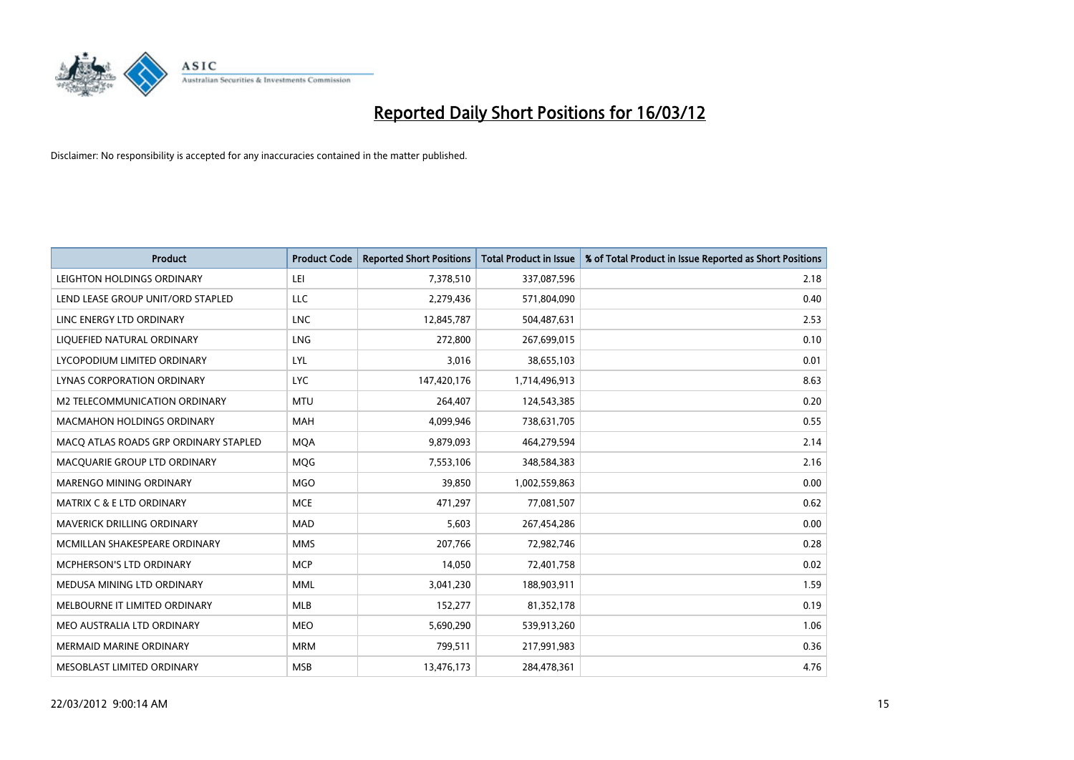

| <b>Product</b>                        | <b>Product Code</b> | <b>Reported Short Positions</b> | <b>Total Product in Issue</b> | % of Total Product in Issue Reported as Short Positions |
|---------------------------------------|---------------------|---------------------------------|-------------------------------|---------------------------------------------------------|
| LEIGHTON HOLDINGS ORDINARY            | LEI                 | 7,378,510                       | 337,087,596                   | 2.18                                                    |
| LEND LEASE GROUP UNIT/ORD STAPLED     | LLC                 | 2,279,436                       | 571,804,090                   | 0.40                                                    |
| LINC ENERGY LTD ORDINARY              | <b>LNC</b>          | 12,845,787                      | 504,487,631                   | 2.53                                                    |
| LIQUEFIED NATURAL ORDINARY            | <b>LNG</b>          | 272,800                         | 267,699,015                   | 0.10                                                    |
| LYCOPODIUM LIMITED ORDINARY           | <b>LYL</b>          | 3,016                           | 38,655,103                    | 0.01                                                    |
| LYNAS CORPORATION ORDINARY            | <b>LYC</b>          | 147,420,176                     | 1,714,496,913                 | 8.63                                                    |
| M2 TELECOMMUNICATION ORDINARY         | <b>MTU</b>          | 264,407                         | 124,543,385                   | 0.20                                                    |
| MACMAHON HOLDINGS ORDINARY            | <b>MAH</b>          | 4,099,946                       | 738,631,705                   | 0.55                                                    |
| MACO ATLAS ROADS GRP ORDINARY STAPLED | <b>MOA</b>          | 9,879,093                       | 464,279,594                   | 2.14                                                    |
| MACQUARIE GROUP LTD ORDINARY          | MQG                 | 7,553,106                       | 348,584,383                   | 2.16                                                    |
| MARENGO MINING ORDINARY               | <b>MGO</b>          | 39,850                          | 1,002,559,863                 | 0.00                                                    |
| MATRIX C & E LTD ORDINARY             | <b>MCE</b>          | 471,297                         | 77,081,507                    | 0.62                                                    |
| <b>MAVERICK DRILLING ORDINARY</b>     | <b>MAD</b>          | 5,603                           | 267,454,286                   | 0.00                                                    |
| MCMILLAN SHAKESPEARE ORDINARY         | <b>MMS</b>          | 207,766                         | 72,982,746                    | 0.28                                                    |
| MCPHERSON'S LTD ORDINARY              | <b>MCP</b>          | 14,050                          | 72,401,758                    | 0.02                                                    |
| MEDUSA MINING LTD ORDINARY            | <b>MML</b>          | 3,041,230                       | 188,903,911                   | 1.59                                                    |
| MELBOURNE IT LIMITED ORDINARY         | MLB                 | 152,277                         | 81,352,178                    | 0.19                                                    |
| MEO AUSTRALIA LTD ORDINARY            | <b>MEO</b>          | 5,690,290                       | 539,913,260                   | 1.06                                                    |
| <b>MERMAID MARINE ORDINARY</b>        | <b>MRM</b>          | 799,511                         | 217,991,983                   | 0.36                                                    |
| MESOBLAST LIMITED ORDINARY            | <b>MSB</b>          | 13,476,173                      | 284,478,361                   | 4.76                                                    |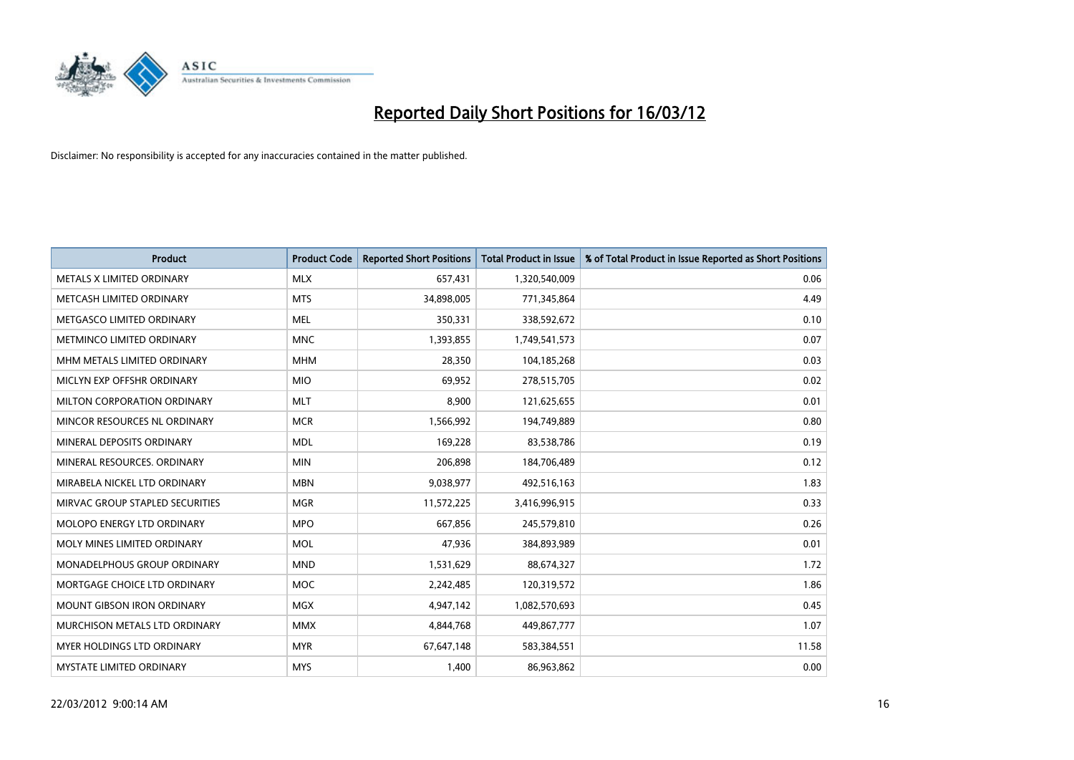

| <b>Product</b>                  | <b>Product Code</b> | <b>Reported Short Positions</b> | <b>Total Product in Issue</b> | % of Total Product in Issue Reported as Short Positions |
|---------------------------------|---------------------|---------------------------------|-------------------------------|---------------------------------------------------------|
| METALS X LIMITED ORDINARY       | <b>MLX</b>          | 657,431                         | 1,320,540,009                 | 0.06                                                    |
| METCASH LIMITED ORDINARY        | <b>MTS</b>          | 34,898,005                      | 771,345,864                   | 4.49                                                    |
| METGASCO LIMITED ORDINARY       | <b>MEL</b>          | 350,331                         | 338,592,672                   | 0.10                                                    |
| METMINCO LIMITED ORDINARY       | <b>MNC</b>          | 1,393,855                       | 1,749,541,573                 | 0.07                                                    |
| MHM METALS LIMITED ORDINARY     | <b>MHM</b>          | 28,350                          | 104,185,268                   | 0.03                                                    |
| MICLYN EXP OFFSHR ORDINARY      | <b>MIO</b>          | 69,952                          | 278,515,705                   | 0.02                                                    |
| MILTON CORPORATION ORDINARY     | <b>MLT</b>          | 8,900                           | 121,625,655                   | 0.01                                                    |
| MINCOR RESOURCES NL ORDINARY    | <b>MCR</b>          | 1,566,992                       | 194,749,889                   | 0.80                                                    |
| MINERAL DEPOSITS ORDINARY       | <b>MDL</b>          | 169,228                         | 83,538,786                    | 0.19                                                    |
| MINERAL RESOURCES, ORDINARY     | <b>MIN</b>          | 206,898                         | 184,706,489                   | 0.12                                                    |
| MIRABELA NICKEL LTD ORDINARY    | <b>MBN</b>          | 9,038,977                       | 492,516,163                   | 1.83                                                    |
| MIRVAC GROUP STAPLED SECURITIES | <b>MGR</b>          | 11,572,225                      | 3,416,996,915                 | 0.33                                                    |
| MOLOPO ENERGY LTD ORDINARY      | <b>MPO</b>          | 667,856                         | 245,579,810                   | 0.26                                                    |
| MOLY MINES LIMITED ORDINARY     | <b>MOL</b>          | 47,936                          | 384,893,989                   | 0.01                                                    |
| MONADELPHOUS GROUP ORDINARY     | <b>MND</b>          | 1,531,629                       | 88,674,327                    | 1.72                                                    |
| MORTGAGE CHOICE LTD ORDINARY    | <b>MOC</b>          | 2,242,485                       | 120,319,572                   | 1.86                                                    |
| MOUNT GIBSON IRON ORDINARY      | <b>MGX</b>          | 4,947,142                       | 1,082,570,693                 | 0.45                                                    |
| MURCHISON METALS LTD ORDINARY   | <b>MMX</b>          | 4,844,768                       | 449,867,777                   | 1.07                                                    |
| MYER HOLDINGS LTD ORDINARY      | <b>MYR</b>          | 67,647,148                      | 583,384,551                   | 11.58                                                   |
| <b>MYSTATE LIMITED ORDINARY</b> | <b>MYS</b>          | 1,400                           | 86,963,862                    | 0.00                                                    |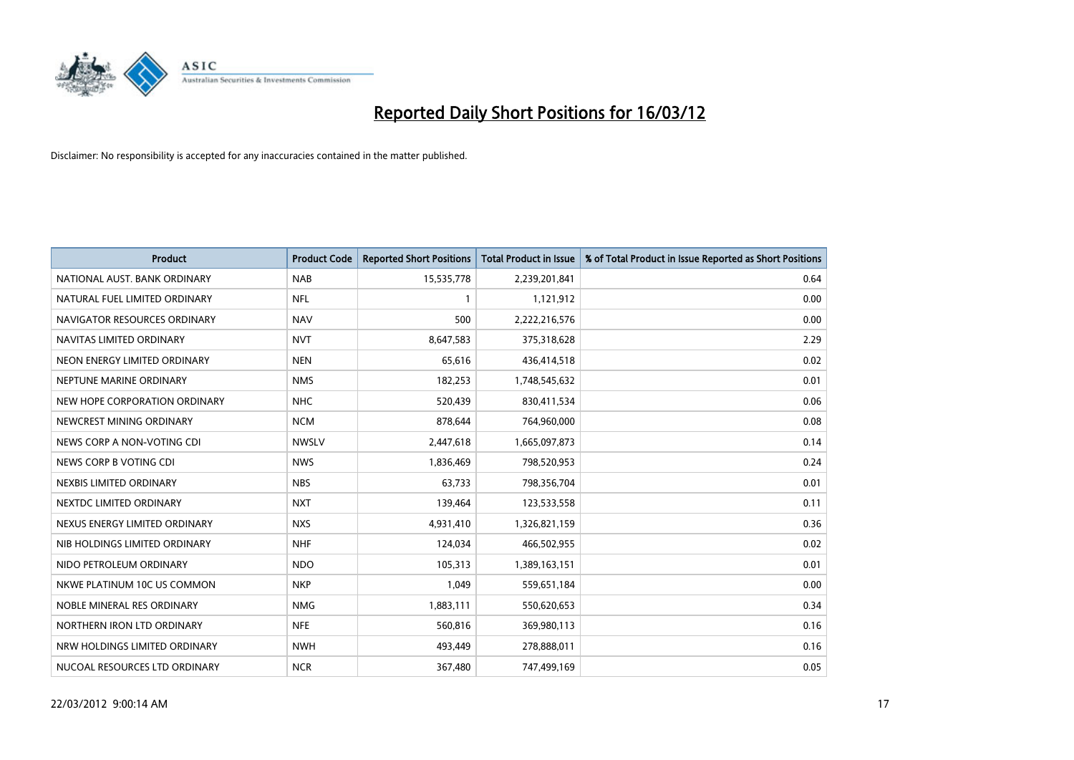

| <b>Product</b>                | <b>Product Code</b> | <b>Reported Short Positions</b> | <b>Total Product in Issue</b> | % of Total Product in Issue Reported as Short Positions |
|-------------------------------|---------------------|---------------------------------|-------------------------------|---------------------------------------------------------|
| NATIONAL AUST, BANK ORDINARY  | <b>NAB</b>          | 15,535,778                      | 2,239,201,841                 | 0.64                                                    |
| NATURAL FUEL LIMITED ORDINARY | <b>NFL</b>          |                                 | 1,121,912                     | 0.00                                                    |
| NAVIGATOR RESOURCES ORDINARY  | <b>NAV</b>          | 500                             | 2,222,216,576                 | 0.00                                                    |
| NAVITAS LIMITED ORDINARY      | <b>NVT</b>          | 8,647,583                       | 375,318,628                   | 2.29                                                    |
| NEON ENERGY LIMITED ORDINARY  | <b>NEN</b>          | 65,616                          | 436,414,518                   | 0.02                                                    |
| NEPTUNE MARINE ORDINARY       | <b>NMS</b>          | 182,253                         | 1,748,545,632                 | 0.01                                                    |
| NEW HOPE CORPORATION ORDINARY | <b>NHC</b>          | 520,439                         | 830,411,534                   | 0.06                                                    |
| NEWCREST MINING ORDINARY      | <b>NCM</b>          | 878,644                         | 764,960,000                   | 0.08                                                    |
| NEWS CORP A NON-VOTING CDI    | <b>NWSLV</b>        | 2,447,618                       | 1,665,097,873                 | 0.14                                                    |
| NEWS CORP B VOTING CDI        | <b>NWS</b>          | 1,836,469                       | 798,520,953                   | 0.24                                                    |
| NEXBIS LIMITED ORDINARY       | <b>NBS</b>          | 63,733                          | 798,356,704                   | 0.01                                                    |
| NEXTDC LIMITED ORDINARY       | <b>NXT</b>          | 139,464                         | 123,533,558                   | 0.11                                                    |
| NEXUS ENERGY LIMITED ORDINARY | <b>NXS</b>          | 4,931,410                       | 1,326,821,159                 | 0.36                                                    |
| NIB HOLDINGS LIMITED ORDINARY | <b>NHF</b>          | 124,034                         | 466,502,955                   | 0.02                                                    |
| NIDO PETROLEUM ORDINARY       | <b>NDO</b>          | 105,313                         | 1,389,163,151                 | 0.01                                                    |
| NKWE PLATINUM 10C US COMMON   | <b>NKP</b>          | 1,049                           | 559,651,184                   | 0.00                                                    |
| NOBLE MINERAL RES ORDINARY    | <b>NMG</b>          | 1,883,111                       | 550,620,653                   | 0.34                                                    |
| NORTHERN IRON LTD ORDINARY    | <b>NFE</b>          | 560,816                         | 369,980,113                   | 0.16                                                    |
| NRW HOLDINGS LIMITED ORDINARY | <b>NWH</b>          | 493,449                         | 278,888,011                   | 0.16                                                    |
| NUCOAL RESOURCES LTD ORDINARY | <b>NCR</b>          | 367,480                         | 747,499,169                   | 0.05                                                    |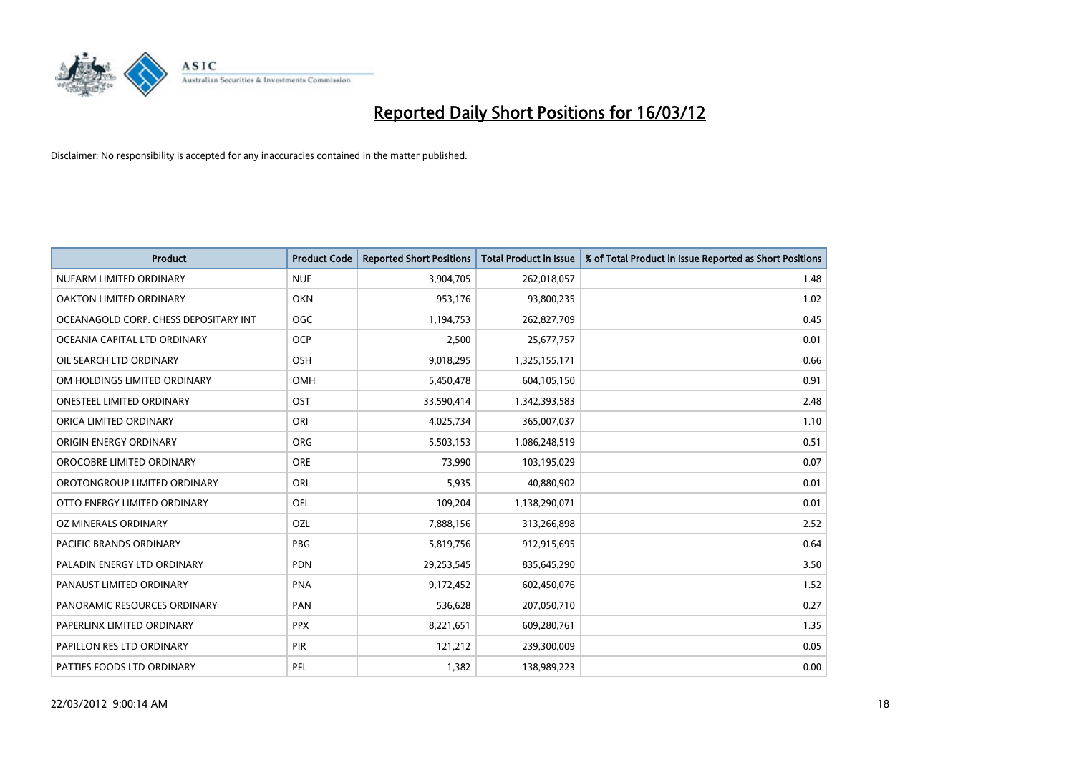

| <b>Product</b>                        | <b>Product Code</b> | <b>Reported Short Positions</b> | <b>Total Product in Issue</b> | % of Total Product in Issue Reported as Short Positions |
|---------------------------------------|---------------------|---------------------------------|-------------------------------|---------------------------------------------------------|
| NUFARM LIMITED ORDINARY               | <b>NUF</b>          | 3,904,705                       | 262,018,057                   | 1.48                                                    |
| OAKTON LIMITED ORDINARY               | <b>OKN</b>          | 953,176                         | 93,800,235                    | 1.02                                                    |
| OCEANAGOLD CORP. CHESS DEPOSITARY INT | <b>OGC</b>          | 1,194,753                       | 262,827,709                   | 0.45                                                    |
| OCEANIA CAPITAL LTD ORDINARY          | <b>OCP</b>          | 2,500                           | 25,677,757                    | 0.01                                                    |
| OIL SEARCH LTD ORDINARY               | OSH                 | 9,018,295                       | 1,325,155,171                 | 0.66                                                    |
| OM HOLDINGS LIMITED ORDINARY          | OMH                 | 5,450,478                       | 604,105,150                   | 0.91                                                    |
| <b>ONESTEEL LIMITED ORDINARY</b>      | OST                 | 33,590,414                      | 1,342,393,583                 | 2.48                                                    |
| ORICA LIMITED ORDINARY                | ORI                 | 4,025,734                       | 365,007,037                   | 1.10                                                    |
| ORIGIN ENERGY ORDINARY                | <b>ORG</b>          | 5,503,153                       | 1,086,248,519                 | 0.51                                                    |
| OROCOBRE LIMITED ORDINARY             | <b>ORE</b>          | 73,990                          | 103,195,029                   | 0.07                                                    |
| OROTONGROUP LIMITED ORDINARY          | ORL                 | 5,935                           | 40,880,902                    | 0.01                                                    |
| OTTO ENERGY LIMITED ORDINARY          | <b>OEL</b>          | 109,204                         | 1,138,290,071                 | 0.01                                                    |
| OZ MINERALS ORDINARY                  | OZL                 | 7,888,156                       | 313,266,898                   | 2.52                                                    |
| <b>PACIFIC BRANDS ORDINARY</b>        | PBG                 | 5,819,756                       | 912,915,695                   | 0.64                                                    |
| PALADIN ENERGY LTD ORDINARY           | <b>PDN</b>          | 29,253,545                      | 835,645,290                   | 3.50                                                    |
| PANAUST LIMITED ORDINARY              | <b>PNA</b>          | 9,172,452                       | 602,450,076                   | 1.52                                                    |
| PANORAMIC RESOURCES ORDINARY          | PAN                 | 536,628                         | 207,050,710                   | 0.27                                                    |
| PAPERLINX LIMITED ORDINARY            | <b>PPX</b>          | 8,221,651                       | 609,280,761                   | 1.35                                                    |
| PAPILLON RES LTD ORDINARY             | <b>PIR</b>          | 121,212                         | 239,300,009                   | 0.05                                                    |
| PATTIES FOODS LTD ORDINARY            | PFL                 | 1,382                           | 138,989,223                   | 0.00                                                    |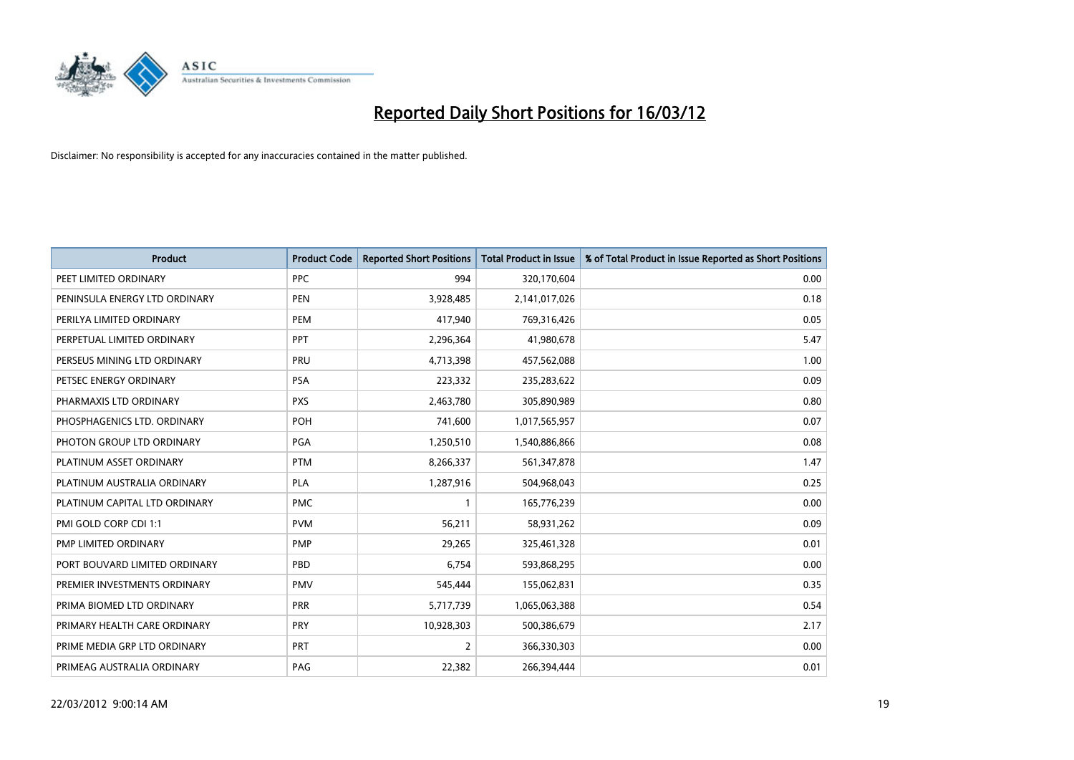

| <b>Product</b>                | <b>Product Code</b> | <b>Reported Short Positions</b> | <b>Total Product in Issue</b> | % of Total Product in Issue Reported as Short Positions |
|-------------------------------|---------------------|---------------------------------|-------------------------------|---------------------------------------------------------|
| PEET LIMITED ORDINARY         | <b>PPC</b>          | 994                             | 320,170,604                   | 0.00                                                    |
| PENINSULA ENERGY LTD ORDINARY | <b>PEN</b>          | 3,928,485                       | 2,141,017,026                 | 0.18                                                    |
| PERILYA LIMITED ORDINARY      | <b>PEM</b>          | 417,940                         | 769,316,426                   | 0.05                                                    |
| PERPETUAL LIMITED ORDINARY    | PPT                 | 2,296,364                       | 41,980,678                    | 5.47                                                    |
| PERSEUS MINING LTD ORDINARY   | PRU                 | 4,713,398                       | 457,562,088                   | 1.00                                                    |
| PETSEC ENERGY ORDINARY        | <b>PSA</b>          | 223,332                         | 235,283,622                   | 0.09                                                    |
| PHARMAXIS LTD ORDINARY        | <b>PXS</b>          | 2,463,780                       | 305,890,989                   | 0.80                                                    |
| PHOSPHAGENICS LTD. ORDINARY   | POH                 | 741,600                         | 1,017,565,957                 | 0.07                                                    |
| PHOTON GROUP LTD ORDINARY     | PGA                 | 1,250,510                       | 1,540,886,866                 | 0.08                                                    |
| PLATINUM ASSET ORDINARY       | <b>PTM</b>          | 8,266,337                       | 561,347,878                   | 1.47                                                    |
| PLATINUM AUSTRALIA ORDINARY   | <b>PLA</b>          | 1,287,916                       | 504,968,043                   | 0.25                                                    |
| PLATINUM CAPITAL LTD ORDINARY | <b>PMC</b>          | $\mathbf{1}$                    | 165,776,239                   | 0.00                                                    |
| PMI GOLD CORP CDI 1:1         | <b>PVM</b>          | 56,211                          | 58,931,262                    | 0.09                                                    |
| <b>PMP LIMITED ORDINARY</b>   | <b>PMP</b>          | 29,265                          | 325,461,328                   | 0.01                                                    |
| PORT BOUVARD LIMITED ORDINARY | PBD                 | 6,754                           | 593,868,295                   | 0.00                                                    |
| PREMIER INVESTMENTS ORDINARY  | <b>PMV</b>          | 545,444                         | 155,062,831                   | 0.35                                                    |
| PRIMA BIOMED LTD ORDINARY     | <b>PRR</b>          | 5,717,739                       | 1,065,063,388                 | 0.54                                                    |
| PRIMARY HEALTH CARE ORDINARY  | <b>PRY</b>          | 10,928,303                      | 500,386,679                   | 2.17                                                    |
| PRIME MEDIA GRP LTD ORDINARY  | PRT                 | $\overline{2}$                  | 366,330,303                   | 0.00                                                    |
| PRIMEAG AUSTRALIA ORDINARY    | PAG                 | 22,382                          | 266,394,444                   | 0.01                                                    |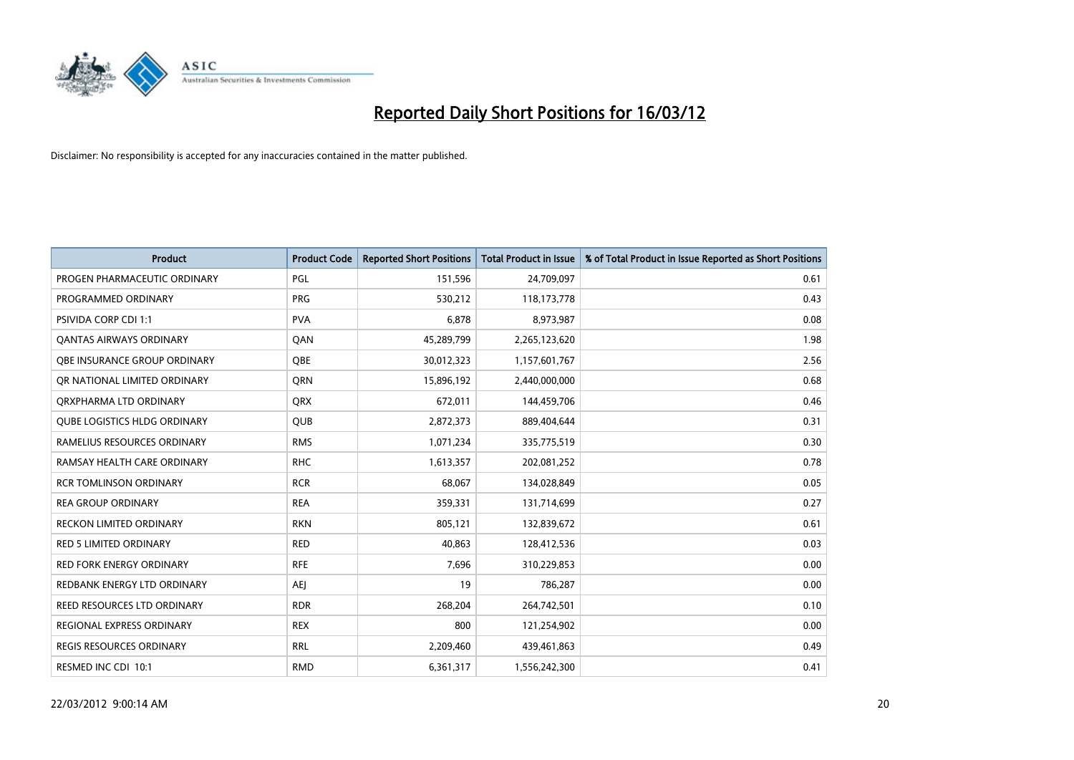

| <b>Product</b>                      | <b>Product Code</b> | <b>Reported Short Positions</b> | <b>Total Product in Issue</b> | % of Total Product in Issue Reported as Short Positions |
|-------------------------------------|---------------------|---------------------------------|-------------------------------|---------------------------------------------------------|
| PROGEN PHARMACEUTIC ORDINARY        | PGL                 | 151,596                         | 24,709,097                    | 0.61                                                    |
| PROGRAMMED ORDINARY                 | <b>PRG</b>          | 530,212                         | 118,173,778                   | 0.43                                                    |
| PSIVIDA CORP CDI 1:1                | <b>PVA</b>          | 6,878                           | 8,973,987                     | 0.08                                                    |
| <b>QANTAS AIRWAYS ORDINARY</b>      | QAN                 | 45,289,799                      | 2,265,123,620                 | 1.98                                                    |
| OBE INSURANCE GROUP ORDINARY        | <b>OBE</b>          | 30,012,323                      | 1,157,601,767                 | 2.56                                                    |
| OR NATIONAL LIMITED ORDINARY        | QRN                 | 15,896,192                      | 2,440,000,000                 | 0.68                                                    |
| ORXPHARMA LTD ORDINARY              | <b>QRX</b>          | 672,011                         | 144,459,706                   | 0.46                                                    |
| <b>QUBE LOGISTICS HLDG ORDINARY</b> | <b>QUB</b>          | 2,872,373                       | 889,404,644                   | 0.31                                                    |
| RAMELIUS RESOURCES ORDINARY         | <b>RMS</b>          | 1,071,234                       | 335,775,519                   | 0.30                                                    |
| RAMSAY HEALTH CARE ORDINARY         | <b>RHC</b>          | 1,613,357                       | 202,081,252                   | 0.78                                                    |
| <b>RCR TOMLINSON ORDINARY</b>       | <b>RCR</b>          | 68,067                          | 134,028,849                   | 0.05                                                    |
| <b>REA GROUP ORDINARY</b>           | <b>REA</b>          | 359,331                         | 131,714,699                   | 0.27                                                    |
| RECKON LIMITED ORDINARY             | <b>RKN</b>          | 805,121                         | 132,839,672                   | 0.61                                                    |
| <b>RED 5 LIMITED ORDINARY</b>       | <b>RED</b>          | 40,863                          | 128,412,536                   | 0.03                                                    |
| <b>RED FORK ENERGY ORDINARY</b>     | <b>RFE</b>          | 7,696                           | 310,229,853                   | 0.00                                                    |
| REDBANK ENERGY LTD ORDINARY         | AEJ                 | 19                              | 786,287                       | 0.00                                                    |
| REED RESOURCES LTD ORDINARY         | <b>RDR</b>          | 268,204                         | 264,742,501                   | 0.10                                                    |
| REGIONAL EXPRESS ORDINARY           | <b>REX</b>          | 800                             | 121,254,902                   | 0.00                                                    |
| <b>REGIS RESOURCES ORDINARY</b>     | <b>RRL</b>          | 2,209,460                       | 439,461,863                   | 0.49                                                    |
| RESMED INC CDI 10:1                 | <b>RMD</b>          | 6,361,317                       | 1,556,242,300                 | 0.41                                                    |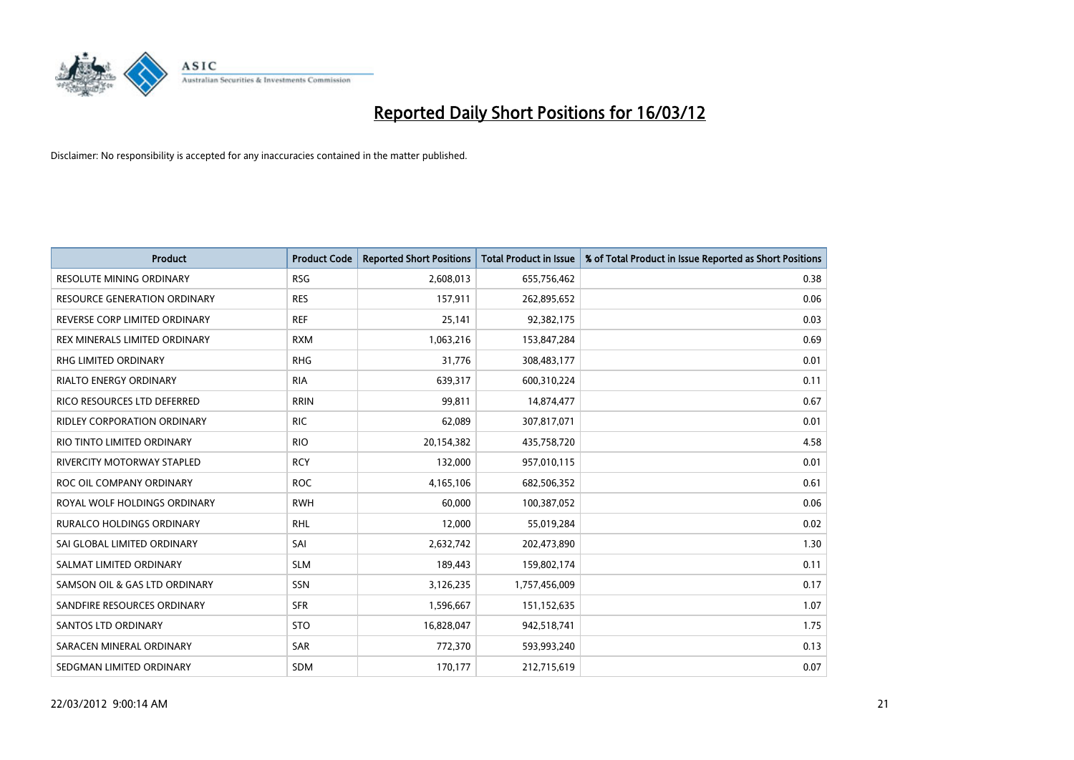

| <b>Product</b>                    | <b>Product Code</b> | <b>Reported Short Positions</b> | <b>Total Product in Issue</b> | % of Total Product in Issue Reported as Short Positions |
|-----------------------------------|---------------------|---------------------------------|-------------------------------|---------------------------------------------------------|
| <b>RESOLUTE MINING ORDINARY</b>   | <b>RSG</b>          | 2,608,013                       | 655,756,462                   | 0.38                                                    |
| RESOURCE GENERATION ORDINARY      | <b>RES</b>          | 157,911                         | 262,895,652                   | 0.06                                                    |
| REVERSE CORP LIMITED ORDINARY     | <b>REF</b>          | 25,141                          | 92,382,175                    | 0.03                                                    |
| REX MINERALS LIMITED ORDINARY     | <b>RXM</b>          | 1,063,216                       | 153,847,284                   | 0.69                                                    |
| <b>RHG LIMITED ORDINARY</b>       | <b>RHG</b>          | 31,776                          | 308,483,177                   | 0.01                                                    |
| <b>RIALTO ENERGY ORDINARY</b>     | <b>RIA</b>          | 639,317                         | 600,310,224                   | 0.11                                                    |
| RICO RESOURCES LTD DEFERRED       | <b>RRIN</b>         | 99,811                          | 14,874,477                    | 0.67                                                    |
| RIDLEY CORPORATION ORDINARY       | <b>RIC</b>          | 62,089                          | 307,817,071                   | 0.01                                                    |
| RIO TINTO LIMITED ORDINARY        | <b>RIO</b>          | 20,154,382                      | 435,758,720                   | 4.58                                                    |
| <b>RIVERCITY MOTORWAY STAPLED</b> | <b>RCY</b>          | 132,000                         | 957,010,115                   | 0.01                                                    |
| ROC OIL COMPANY ORDINARY          | <b>ROC</b>          | 4,165,106                       | 682,506,352                   | 0.61                                                    |
| ROYAL WOLF HOLDINGS ORDINARY      | <b>RWH</b>          | 60,000                          | 100,387,052                   | 0.06                                                    |
| RURALCO HOLDINGS ORDINARY         | <b>RHL</b>          | 12,000                          | 55,019,284                    | 0.02                                                    |
| SAI GLOBAL LIMITED ORDINARY       | SAI                 | 2,632,742                       | 202,473,890                   | 1.30                                                    |
| SALMAT LIMITED ORDINARY           | <b>SLM</b>          | 189,443                         | 159,802,174                   | 0.11                                                    |
| SAMSON OIL & GAS LTD ORDINARY     | SSN                 | 3,126,235                       | 1,757,456,009                 | 0.17                                                    |
| SANDFIRE RESOURCES ORDINARY       | <b>SFR</b>          | 1,596,667                       | 151,152,635                   | 1.07                                                    |
| <b>SANTOS LTD ORDINARY</b>        | <b>STO</b>          | 16,828,047                      | 942,518,741                   | 1.75                                                    |
| SARACEN MINERAL ORDINARY          | SAR                 | 772,370                         | 593,993,240                   | 0.13                                                    |
| SEDGMAN LIMITED ORDINARY          | <b>SDM</b>          | 170,177                         | 212,715,619                   | 0.07                                                    |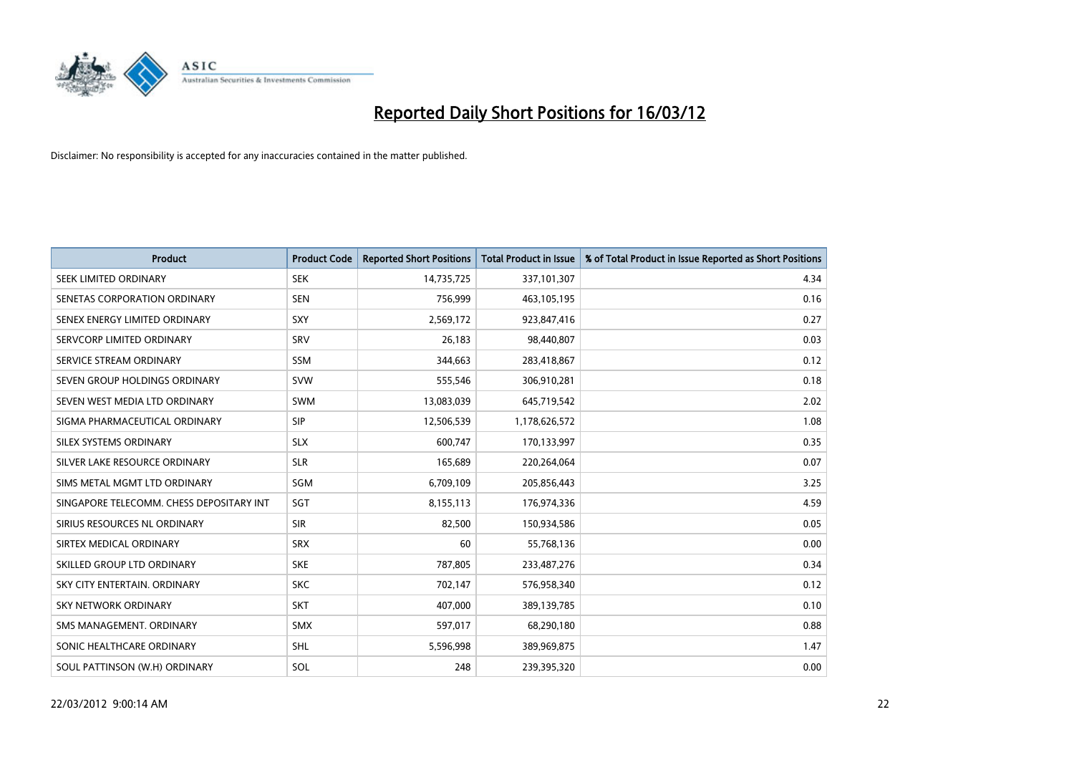

| <b>Product</b>                           | <b>Product Code</b> | <b>Reported Short Positions</b> | <b>Total Product in Issue</b> | % of Total Product in Issue Reported as Short Positions |
|------------------------------------------|---------------------|---------------------------------|-------------------------------|---------------------------------------------------------|
| SEEK LIMITED ORDINARY                    | <b>SEK</b>          | 14,735,725                      | 337,101,307                   | 4.34                                                    |
| SENETAS CORPORATION ORDINARY             | <b>SEN</b>          | 756,999                         | 463,105,195                   | 0.16                                                    |
| SENEX ENERGY LIMITED ORDINARY            | <b>SXY</b>          | 2,569,172                       | 923,847,416                   | 0.27                                                    |
| SERVCORP LIMITED ORDINARY                | SRV                 | 26,183                          | 98,440,807                    | 0.03                                                    |
| SERVICE STREAM ORDINARY                  | SSM                 | 344,663                         | 283,418,867                   | 0.12                                                    |
| SEVEN GROUP HOLDINGS ORDINARY            | <b>SVW</b>          | 555,546                         | 306,910,281                   | 0.18                                                    |
| SEVEN WEST MEDIA LTD ORDINARY            | <b>SWM</b>          | 13,083,039                      | 645,719,542                   | 2.02                                                    |
| SIGMA PHARMACEUTICAL ORDINARY            | <b>SIP</b>          | 12,506,539                      | 1,178,626,572                 | 1.08                                                    |
| SILEX SYSTEMS ORDINARY                   | <b>SLX</b>          | 600,747                         | 170,133,997                   | 0.35                                                    |
| SILVER LAKE RESOURCE ORDINARY            | <b>SLR</b>          | 165,689                         | 220,264,064                   | 0.07                                                    |
| SIMS METAL MGMT LTD ORDINARY             | SGM                 | 6,709,109                       | 205,856,443                   | 3.25                                                    |
| SINGAPORE TELECOMM. CHESS DEPOSITARY INT | <b>SGT</b>          | 8,155,113                       | 176,974,336                   | 4.59                                                    |
| SIRIUS RESOURCES NL ORDINARY             | <b>SIR</b>          | 82,500                          | 150,934,586                   | 0.05                                                    |
| SIRTEX MEDICAL ORDINARY                  | <b>SRX</b>          | 60                              | 55,768,136                    | 0.00                                                    |
| SKILLED GROUP LTD ORDINARY               | <b>SKE</b>          | 787,805                         | 233,487,276                   | 0.34                                                    |
| SKY CITY ENTERTAIN, ORDINARY             | <b>SKC</b>          | 702,147                         | 576,958,340                   | 0.12                                                    |
| <b>SKY NETWORK ORDINARY</b>              | <b>SKT</b>          | 407,000                         | 389,139,785                   | 0.10                                                    |
| SMS MANAGEMENT, ORDINARY                 | <b>SMX</b>          | 597,017                         | 68,290,180                    | 0.88                                                    |
| SONIC HEALTHCARE ORDINARY                | SHL                 | 5,596,998                       | 389,969,875                   | 1.47                                                    |
| SOUL PATTINSON (W.H) ORDINARY            | SOL                 | 248                             | 239,395,320                   | 0.00                                                    |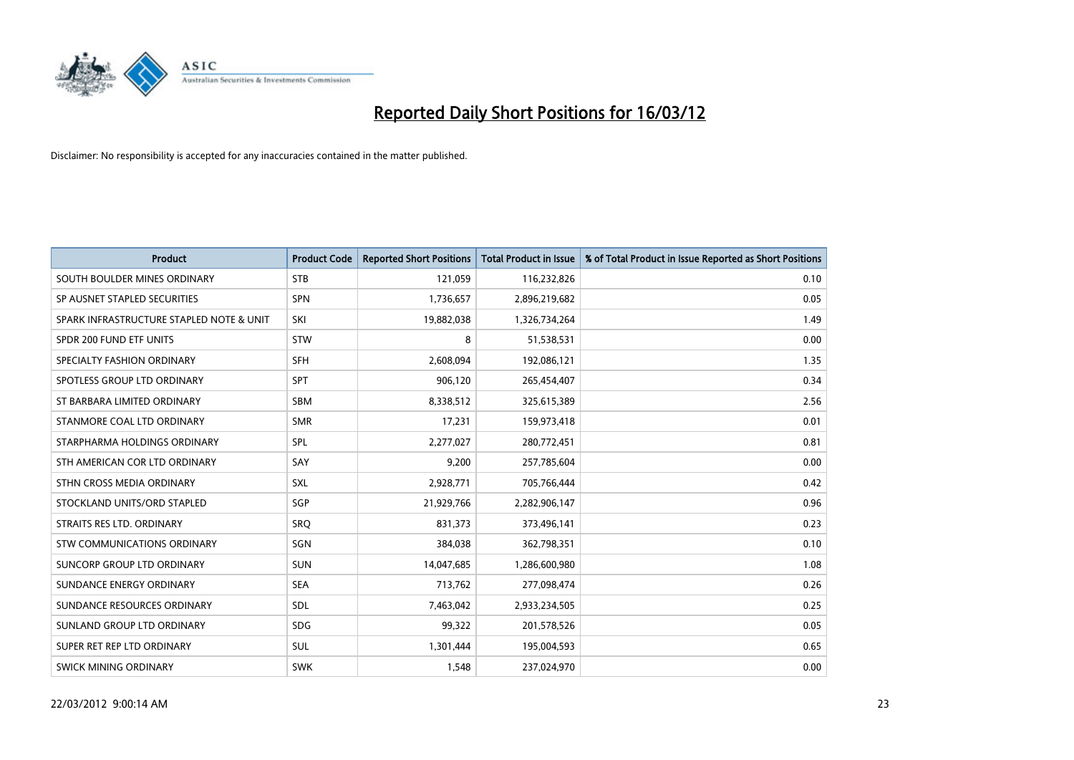

| <b>Product</b>                           | <b>Product Code</b> | <b>Reported Short Positions</b> | <b>Total Product in Issue</b> | % of Total Product in Issue Reported as Short Positions |
|------------------------------------------|---------------------|---------------------------------|-------------------------------|---------------------------------------------------------|
| SOUTH BOULDER MINES ORDINARY             | <b>STB</b>          | 121,059                         | 116,232,826                   | 0.10                                                    |
| SP AUSNET STAPLED SECURITIES             | <b>SPN</b>          | 1,736,657                       | 2,896,219,682                 | 0.05                                                    |
| SPARK INFRASTRUCTURE STAPLED NOTE & UNIT | SKI                 | 19,882,038                      | 1,326,734,264                 | 1.49                                                    |
| SPDR 200 FUND ETF UNITS                  | <b>STW</b>          | 8                               | 51,538,531                    | 0.00                                                    |
| SPECIALTY FASHION ORDINARY               | <b>SFH</b>          | 2,608,094                       | 192,086,121                   | 1.35                                                    |
| SPOTLESS GROUP LTD ORDINARY              | <b>SPT</b>          | 906,120                         | 265,454,407                   | 0.34                                                    |
| ST BARBARA LIMITED ORDINARY              | <b>SBM</b>          | 8,338,512                       | 325,615,389                   | 2.56                                                    |
| STANMORE COAL LTD ORDINARY               | <b>SMR</b>          | 17,231                          | 159,973,418                   | 0.01                                                    |
| STARPHARMA HOLDINGS ORDINARY             | SPL                 | 2,277,027                       | 280,772,451                   | 0.81                                                    |
| STH AMERICAN COR LTD ORDINARY            | SAY                 | 9,200                           | 257,785,604                   | 0.00                                                    |
| STHN CROSS MEDIA ORDINARY                | <b>SXL</b>          | 2,928,771                       | 705,766,444                   | 0.42                                                    |
| STOCKLAND UNITS/ORD STAPLED              | <b>SGP</b>          | 21,929,766                      | 2,282,906,147                 | 0.96                                                    |
| STRAITS RES LTD. ORDINARY                | SRQ                 | 831,373                         | 373,496,141                   | 0.23                                                    |
| <b>STW COMMUNICATIONS ORDINARY</b>       | SGN                 | 384,038                         | 362,798,351                   | 0.10                                                    |
| SUNCORP GROUP LTD ORDINARY               | <b>SUN</b>          | 14,047,685                      | 1,286,600,980                 | 1.08                                                    |
| SUNDANCE ENERGY ORDINARY                 | <b>SEA</b>          | 713,762                         | 277,098,474                   | 0.26                                                    |
| SUNDANCE RESOURCES ORDINARY              | <b>SDL</b>          | 7,463,042                       | 2,933,234,505                 | 0.25                                                    |
| SUNLAND GROUP LTD ORDINARY               | <b>SDG</b>          | 99,322                          | 201,578,526                   | 0.05                                                    |
| SUPER RET REP LTD ORDINARY               | <b>SUL</b>          | 1,301,444                       | 195,004,593                   | 0.65                                                    |
| <b>SWICK MINING ORDINARY</b>             | <b>SWK</b>          | 1,548                           | 237,024,970                   | 0.00                                                    |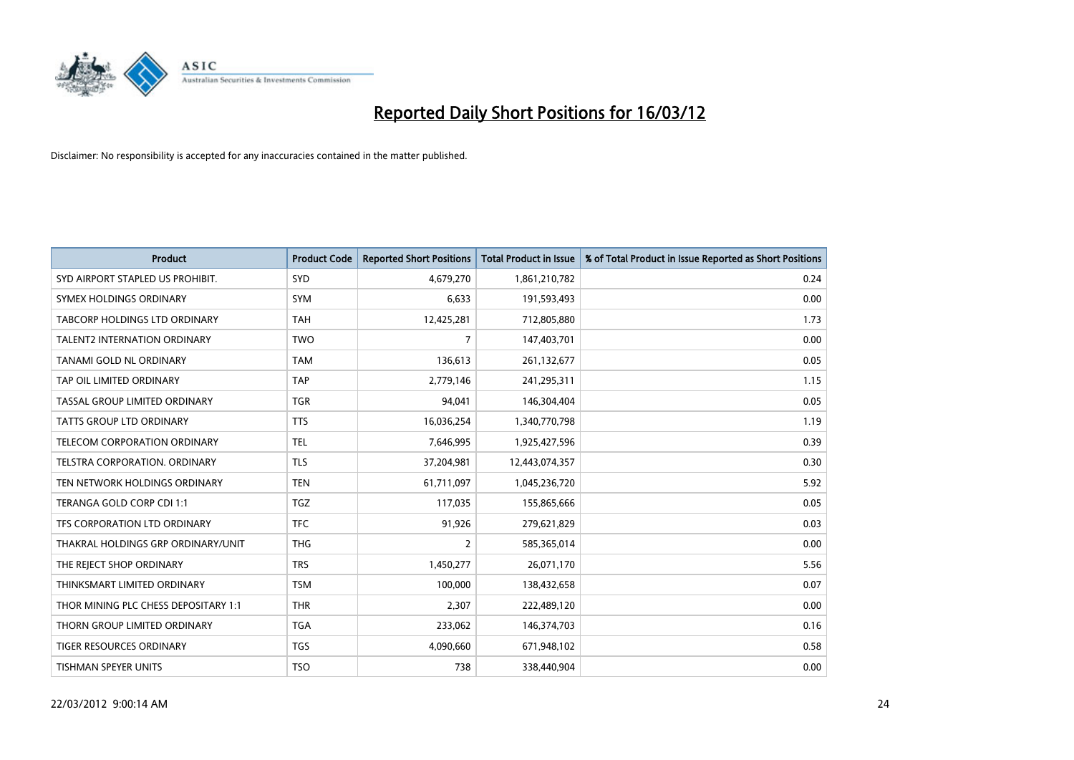

| <b>Product</b>                       | <b>Product Code</b> | <b>Reported Short Positions</b> | <b>Total Product in Issue</b> | % of Total Product in Issue Reported as Short Positions |
|--------------------------------------|---------------------|---------------------------------|-------------------------------|---------------------------------------------------------|
| SYD AIRPORT STAPLED US PROHIBIT.     | SYD                 | 4,679,270                       | 1,861,210,782                 | 0.24                                                    |
| SYMEX HOLDINGS ORDINARY              | <b>SYM</b>          | 6,633                           | 191,593,493                   | 0.00                                                    |
| TABCORP HOLDINGS LTD ORDINARY        | <b>TAH</b>          | 12,425,281                      | 712,805,880                   | 1.73                                                    |
| TALENT2 INTERNATION ORDINARY         | <b>TWO</b>          | $\overline{7}$                  | 147,403,701                   | 0.00                                                    |
| <b>TANAMI GOLD NL ORDINARY</b>       | <b>TAM</b>          | 136,613                         | 261,132,677                   | 0.05                                                    |
| TAP OIL LIMITED ORDINARY             | <b>TAP</b>          | 2,779,146                       | 241,295,311                   | 1.15                                                    |
| TASSAL GROUP LIMITED ORDINARY        | <b>TGR</b>          | 94,041                          | 146,304,404                   | 0.05                                                    |
| TATTS GROUP LTD ORDINARY             | <b>TTS</b>          | 16,036,254                      | 1,340,770,798                 | 1.19                                                    |
| TELECOM CORPORATION ORDINARY         | <b>TEL</b>          | 7,646,995                       | 1,925,427,596                 | 0.39                                                    |
| TELSTRA CORPORATION, ORDINARY        | <b>TLS</b>          | 37,204,981                      | 12,443,074,357                | 0.30                                                    |
| TEN NETWORK HOLDINGS ORDINARY        | <b>TEN</b>          | 61,711,097                      | 1,045,236,720                 | 5.92                                                    |
| TERANGA GOLD CORP CDI 1:1            | <b>TGZ</b>          | 117,035                         | 155,865,666                   | 0.05                                                    |
| TFS CORPORATION LTD ORDINARY         | <b>TFC</b>          | 91,926                          | 279,621,829                   | 0.03                                                    |
| THAKRAL HOLDINGS GRP ORDINARY/UNIT   | <b>THG</b>          | $\overline{2}$                  | 585,365,014                   | 0.00                                                    |
| THE REJECT SHOP ORDINARY             | <b>TRS</b>          | 1,450,277                       | 26,071,170                    | 5.56                                                    |
| THINKSMART LIMITED ORDINARY          | <b>TSM</b>          | 100,000                         | 138,432,658                   | 0.07                                                    |
| THOR MINING PLC CHESS DEPOSITARY 1:1 | <b>THR</b>          | 2,307                           | 222,489,120                   | 0.00                                                    |
| THORN GROUP LIMITED ORDINARY         | <b>TGA</b>          | 233,062                         | 146,374,703                   | 0.16                                                    |
| <b>TIGER RESOURCES ORDINARY</b>      | <b>TGS</b>          | 4,090,660                       | 671,948,102                   | 0.58                                                    |
| <b>TISHMAN SPEYER UNITS</b>          | <b>TSO</b>          | 738                             | 338,440,904                   | 0.00                                                    |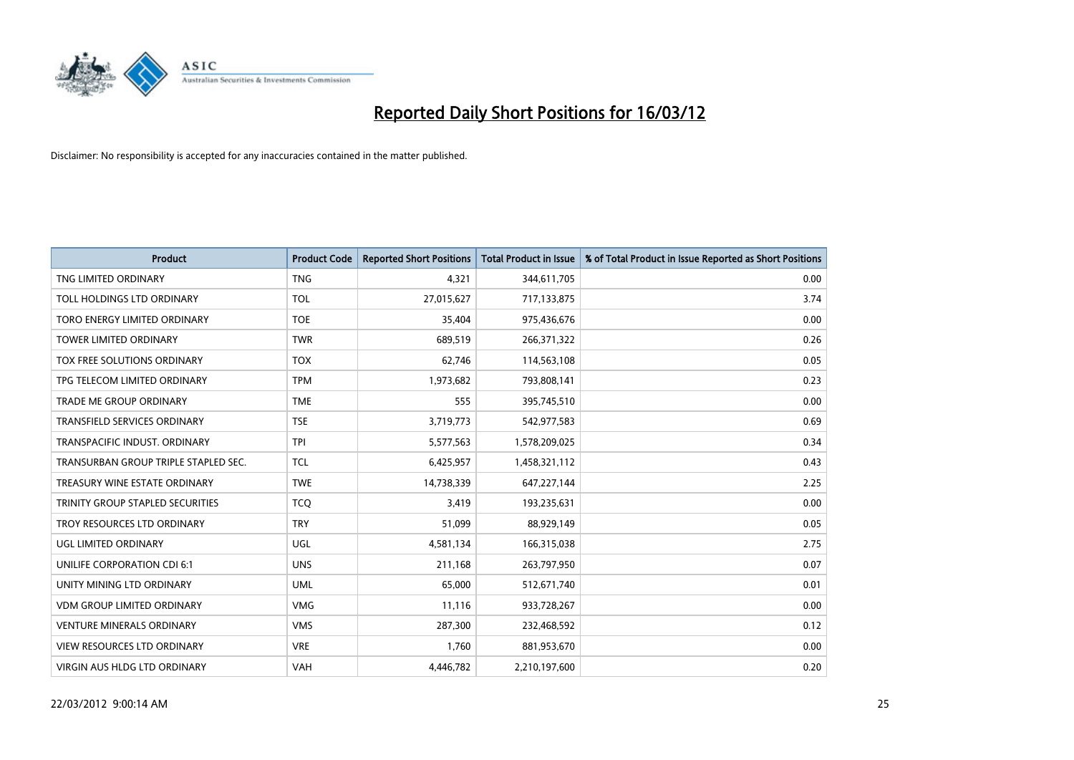

| <b>Product</b>                          | <b>Product Code</b> | <b>Reported Short Positions</b> | <b>Total Product in Issue</b> | % of Total Product in Issue Reported as Short Positions |
|-----------------------------------------|---------------------|---------------------------------|-------------------------------|---------------------------------------------------------|
| TNG LIMITED ORDINARY                    | <b>TNG</b>          | 4,321                           | 344,611,705                   | 0.00                                                    |
| TOLL HOLDINGS LTD ORDINARY              | <b>TOL</b>          | 27,015,627                      | 717,133,875                   | 3.74                                                    |
| TORO ENERGY LIMITED ORDINARY            | <b>TOE</b>          | 35,404                          | 975,436,676                   | 0.00                                                    |
| <b>TOWER LIMITED ORDINARY</b>           | <b>TWR</b>          | 689,519                         | 266,371,322                   | 0.26                                                    |
| TOX FREE SOLUTIONS ORDINARY             | <b>TOX</b>          | 62,746                          | 114,563,108                   | 0.05                                                    |
| TPG TELECOM LIMITED ORDINARY            | <b>TPM</b>          | 1,973,682                       | 793,808,141                   | 0.23                                                    |
| TRADE ME GROUP ORDINARY                 | <b>TME</b>          | 555                             | 395,745,510                   | 0.00                                                    |
| TRANSFIELD SERVICES ORDINARY            | <b>TSE</b>          | 3,719,773                       | 542,977,583                   | 0.69                                                    |
| TRANSPACIFIC INDUST, ORDINARY           | <b>TPI</b>          | 5,577,563                       | 1,578,209,025                 | 0.34                                                    |
| TRANSURBAN GROUP TRIPLE STAPLED SEC.    | <b>TCL</b>          | 6,425,957                       | 1,458,321,112                 | 0.43                                                    |
| TREASURY WINE ESTATE ORDINARY           | <b>TWE</b>          | 14,738,339                      | 647,227,144                   | 2.25                                                    |
| <b>TRINITY GROUP STAPLED SECURITIES</b> | <b>TCQ</b>          | 3,419                           | 193,235,631                   | 0.00                                                    |
| TROY RESOURCES LTD ORDINARY             | <b>TRY</b>          | 51,099                          | 88,929,149                    | 0.05                                                    |
| <b>UGL LIMITED ORDINARY</b>             | UGL                 | 4,581,134                       | 166,315,038                   | 2.75                                                    |
| UNILIFE CORPORATION CDI 6:1             | <b>UNS</b>          | 211,168                         | 263,797,950                   | 0.07                                                    |
| UNITY MINING LTD ORDINARY               | <b>UML</b>          | 65,000                          | 512,671,740                   | 0.01                                                    |
| VDM GROUP LIMITED ORDINARY              | <b>VMG</b>          | 11,116                          | 933,728,267                   | 0.00                                                    |
| <b>VENTURE MINERALS ORDINARY</b>        | <b>VMS</b>          | 287,300                         | 232,468,592                   | 0.12                                                    |
| <b>VIEW RESOURCES LTD ORDINARY</b>      | <b>VRE</b>          | 1,760                           | 881,953,670                   | 0.00                                                    |
| <b>VIRGIN AUS HLDG LTD ORDINARY</b>     | <b>VAH</b>          | 4,446,782                       | 2,210,197,600                 | 0.20                                                    |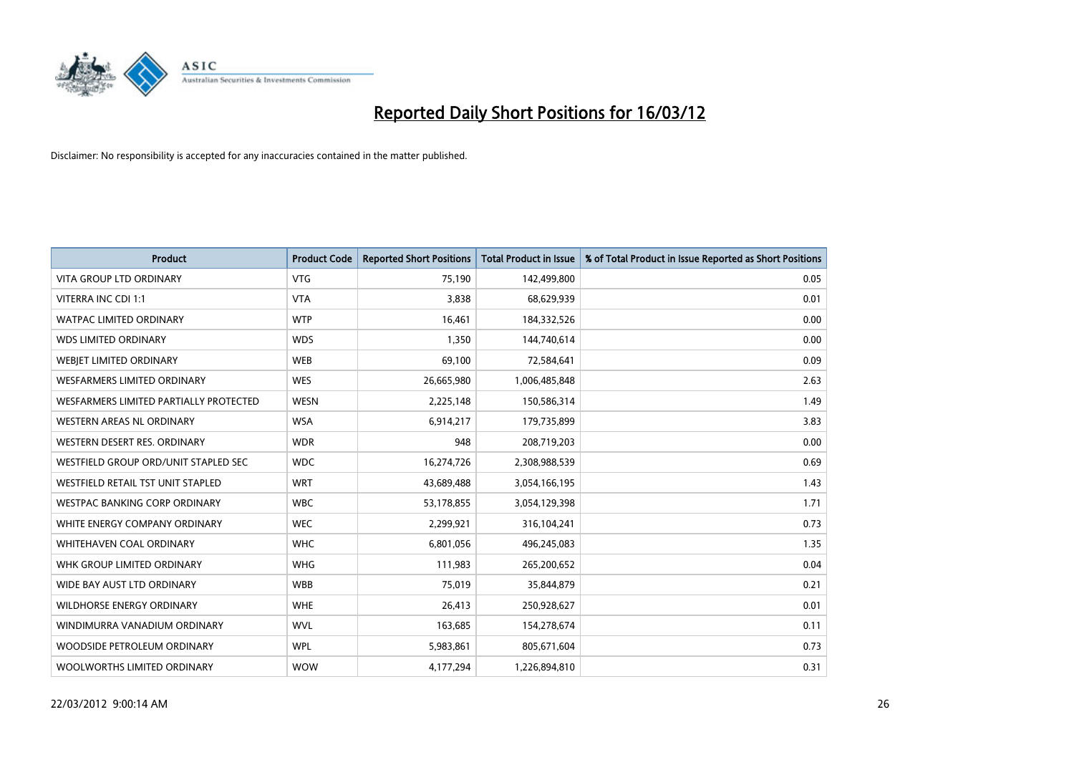

| <b>Product</b>                         | <b>Product Code</b> | <b>Reported Short Positions</b> | <b>Total Product in Issue</b> | % of Total Product in Issue Reported as Short Positions |
|----------------------------------------|---------------------|---------------------------------|-------------------------------|---------------------------------------------------------|
| <b>VITA GROUP LTD ORDINARY</b>         | <b>VTG</b>          | 75,190                          | 142,499,800                   | 0.05                                                    |
| VITERRA INC CDI 1:1                    | <b>VTA</b>          | 3,838                           | 68,629,939                    | 0.01                                                    |
| WATPAC LIMITED ORDINARY                | <b>WTP</b>          | 16,461                          | 184,332,526                   | 0.00                                                    |
| <b>WDS LIMITED ORDINARY</b>            | <b>WDS</b>          | 1,350                           | 144,740,614                   | 0.00                                                    |
| WEBJET LIMITED ORDINARY                | <b>WEB</b>          | 69,100                          | 72,584,641                    | 0.09                                                    |
| <b>WESFARMERS LIMITED ORDINARY</b>     | <b>WES</b>          | 26,665,980                      | 1,006,485,848                 | 2.63                                                    |
| WESFARMERS LIMITED PARTIALLY PROTECTED | <b>WESN</b>         | 2,225,148                       | 150,586,314                   | 1.49                                                    |
| WESTERN AREAS NL ORDINARY              | <b>WSA</b>          | 6,914,217                       | 179,735,899                   | 3.83                                                    |
| WESTERN DESERT RES. ORDINARY           | <b>WDR</b>          | 948                             | 208,719,203                   | 0.00                                                    |
| WESTFIELD GROUP ORD/UNIT STAPLED SEC   | <b>WDC</b>          | 16,274,726                      | 2,308,988,539                 | 0.69                                                    |
| WESTFIELD RETAIL TST UNIT STAPLED      | <b>WRT</b>          | 43,689,488                      | 3,054,166,195                 | 1.43                                                    |
| WESTPAC BANKING CORP ORDINARY          | <b>WBC</b>          | 53,178,855                      | 3,054,129,398                 | 1.71                                                    |
| WHITE ENERGY COMPANY ORDINARY          | <b>WEC</b>          | 2,299,921                       | 316,104,241                   | 0.73                                                    |
| WHITEHAVEN COAL ORDINARY               | <b>WHC</b>          | 6,801,056                       | 496,245,083                   | 1.35                                                    |
| WHK GROUP LIMITED ORDINARY             | <b>WHG</b>          | 111,983                         | 265,200,652                   | 0.04                                                    |
| WIDE BAY AUST LTD ORDINARY             | <b>WBB</b>          | 75,019                          | 35,844,879                    | 0.21                                                    |
| <b>WILDHORSE ENERGY ORDINARY</b>       | <b>WHE</b>          | 26,413                          | 250,928,627                   | 0.01                                                    |
| WINDIMURRA VANADIUM ORDINARY           | <b>WVL</b>          | 163,685                         | 154,278,674                   | 0.11                                                    |
| WOODSIDE PETROLEUM ORDINARY            | <b>WPL</b>          | 5,983,861                       | 805,671,604                   | 0.73                                                    |
| WOOLWORTHS LIMITED ORDINARY            | <b>WOW</b>          | 4,177,294                       | 1,226,894,810                 | 0.31                                                    |